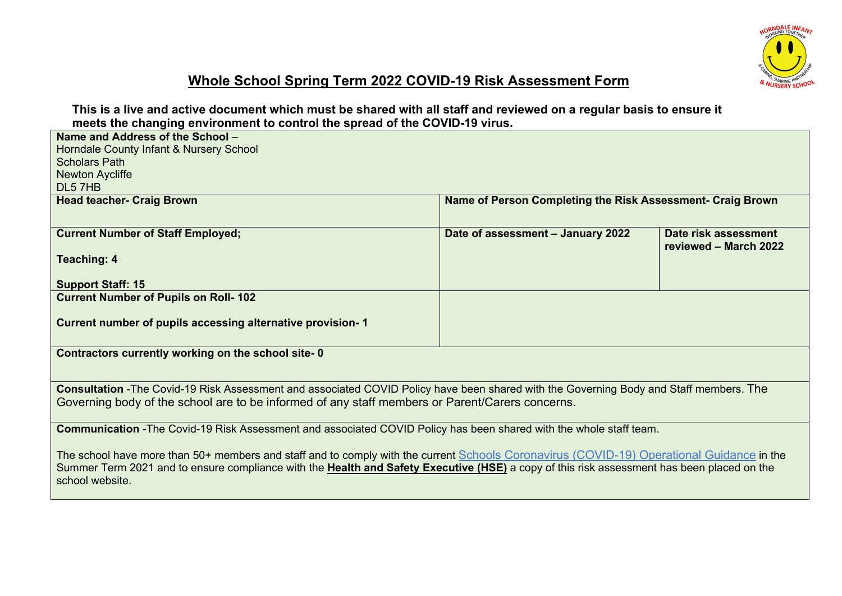

# **Whole School Spring Term 2022 COVID-19 Risk Assessment Form**

**This is a live and active document which must be shared with all staff and reviewed on a regular basis to ensure it meets the changing environment to control the spread of the COVID-19 virus.**

| Name and Address of the School -                                                                                                           |                                                            |                       |
|--------------------------------------------------------------------------------------------------------------------------------------------|------------------------------------------------------------|-----------------------|
| Horndale County Infant & Nursery School                                                                                                    |                                                            |                       |
| <b>Scholars Path</b>                                                                                                                       |                                                            |                       |
| <b>Newton Aycliffe</b>                                                                                                                     |                                                            |                       |
| DL5 7HB                                                                                                                                    |                                                            |                       |
|                                                                                                                                            |                                                            |                       |
| <b>Head teacher- Craig Brown</b>                                                                                                           | Name of Person Completing the Risk Assessment- Craig Brown |                       |
|                                                                                                                                            |                                                            |                       |
| <b>Current Number of Staff Employed;</b>                                                                                                   | Date of assessment - January 2022                          | Date risk assessment  |
|                                                                                                                                            |                                                            | reviewed - March 2022 |
| <b>Teaching: 4</b>                                                                                                                         |                                                            |                       |
|                                                                                                                                            |                                                            |                       |
| <b>Support Staff: 15</b>                                                                                                                   |                                                            |                       |
| <b>Current Number of Pupils on Roll-102</b>                                                                                                |                                                            |                       |
|                                                                                                                                            |                                                            |                       |
| Current number of pupils accessing alternative provision-1                                                                                 |                                                            |                       |
|                                                                                                                                            |                                                            |                       |
|                                                                                                                                            |                                                            |                       |
| Contractors currently working on the school site-0                                                                                         |                                                            |                       |
|                                                                                                                                            |                                                            |                       |
| Consultation - The Covid-19 Risk Assessment and associated COVID Policy have been shared with the Governing Body and Staff members. The    |                                                            |                       |
|                                                                                                                                            |                                                            |                       |
| Governing body of the school are to be informed of any staff members or Parent/Carers concerns.                                            |                                                            |                       |
|                                                                                                                                            |                                                            |                       |
| Communication - The Covid-19 Risk Assessment and associated COVID Policy has been shared with the whole staff team.                        |                                                            |                       |
|                                                                                                                                            |                                                            |                       |
| The school have more than 50+ members and staff and to comply with the current Schools Coronavirus (COVID-19) Operational Guidance in the  |                                                            |                       |
| Summer Term 2021 and to ensure compliance with the Health and Safety Executive (HSE) a copy of this risk assessment has been placed on the |                                                            |                       |
| school website.                                                                                                                            |                                                            |                       |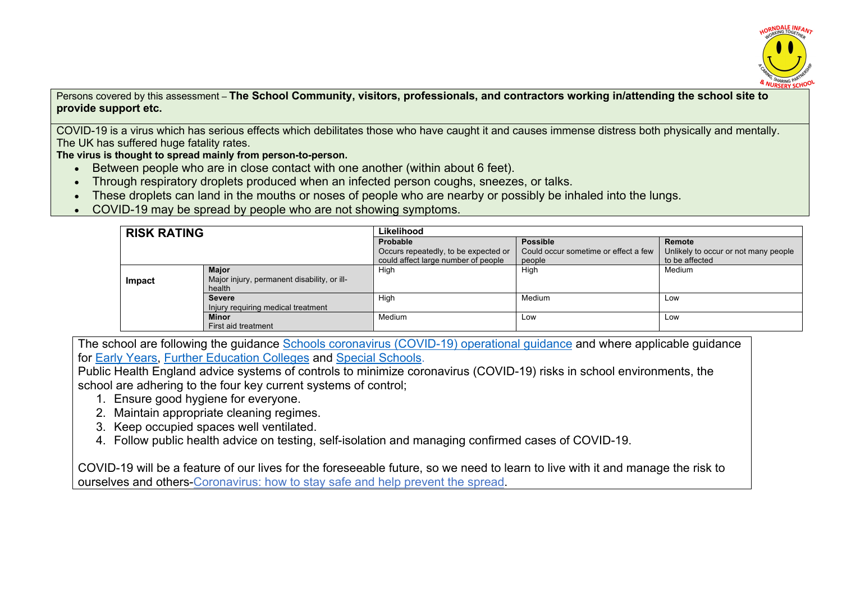

Persons covered by this assessment – **The School Community, visitors, professionals, and contractors working in/attending the school site to provide support etc.**

COVID-19 is a virus which has serious effects which debilitates those who have caught it and causes immense distress both physically and mentally. The UK has suffered huge fatality rates.

**The virus is thought to spread mainly from person-to-person.**

- Between people who are in close contact with one another (within about 6 feet).
- Through respiratory droplets produced when an infected person coughs, sneezes, or talks.
- These droplets can land in the mouths or noses of people who are nearby or possibly be inhaled into the lungs.
- COVID-19 may be spread by people who are not showing symptoms.

| <b>RISK RATING</b> |                                             | Likelihood                           |                                      |                                      |  |  |  |  |
|--------------------|---------------------------------------------|--------------------------------------|--------------------------------------|--------------------------------------|--|--|--|--|
|                    |                                             | Probable                             | <b>Possible</b>                      | Remote                               |  |  |  |  |
|                    |                                             | Occurs repeatedly, to be expected or | Could occur sometime or effect a few | Unlikely to occur or not many people |  |  |  |  |
|                    |                                             | could affect large number of people  | people                               | to be affected                       |  |  |  |  |
| <b>Major</b>       |                                             | High                                 | High                                 | Medium                               |  |  |  |  |
| Impact             | Major injury, permanent disability, or ill- |                                      |                                      |                                      |  |  |  |  |
|                    | health                                      |                                      |                                      |                                      |  |  |  |  |
|                    | <b>Severe</b>                               | High                                 | Medium                               | Low                                  |  |  |  |  |
|                    | Injury requiring medical treatment          |                                      |                                      |                                      |  |  |  |  |
|                    | <b>Minor</b>                                | Medium                               | Low                                  | Low                                  |  |  |  |  |
|                    | First aid treatment                         |                                      |                                      |                                      |  |  |  |  |

The school are following the guidance Schools coronavirus (COVID-19) operational guidance and where applicable guidance for Early Years, Further Education Colleges and Special Schools.

Public Health England advice systems of controls to minimize coronavirus (COVID-19) risks in school environments, the school are adhering to the four key current systems of control;

- 1. Ensure good hygiene for everyone.
- 2. Maintain appropriate cleaning regimes.
- 3. Keep occupied spaces well ventilated.
- 4. Follow public health advice on testing, self-isolation and managing confirmed cases of COVID-19.

COVID-19 will be a feature of our lives for the foreseeable future, so we need to learn to live with it and manage the risk to ourselves and others-Coronavirus: how to stay safe and help prevent the spread.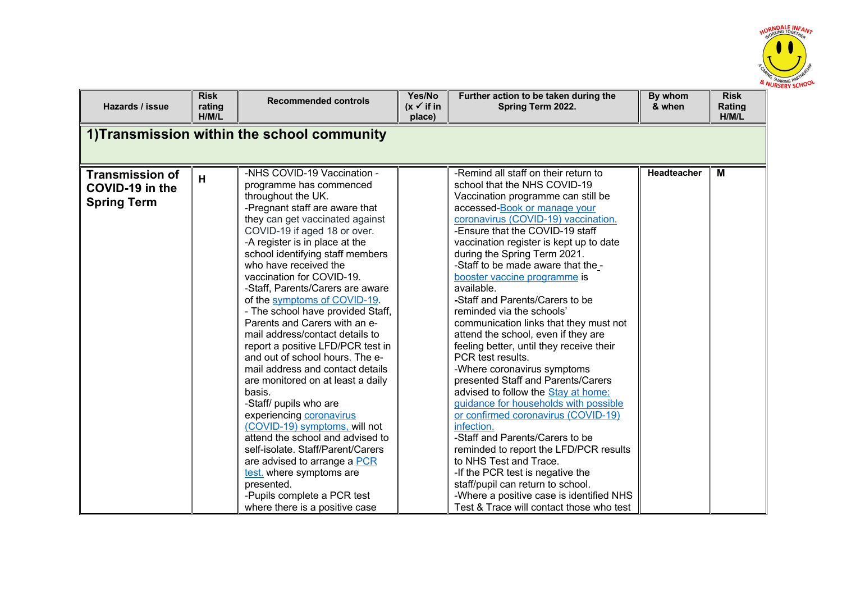

| Hazards / issue                                                 | <b>Risk</b><br>rating<br>H/M/L | <b>Recommended controls</b>                                                                                                                                                                                                                                                                                                                                                                                                                                                                                                                                                                                                                                                                                                                                                                                                                                                                                                                                      | Yes/No<br>$(x \checkmark)$ if in<br>place) | Further action to be taken during the<br>Spring Term 2022.                                                                                                                                                                                                                                                                                                                                                                                                                                                                                                                                                                                                                                                                                                                                                                                                                                                                                                                                                                                                                              | By whom<br>& when | <b>Risk</b><br>Rating<br>H/M/L |
|-----------------------------------------------------------------|--------------------------------|------------------------------------------------------------------------------------------------------------------------------------------------------------------------------------------------------------------------------------------------------------------------------------------------------------------------------------------------------------------------------------------------------------------------------------------------------------------------------------------------------------------------------------------------------------------------------------------------------------------------------------------------------------------------------------------------------------------------------------------------------------------------------------------------------------------------------------------------------------------------------------------------------------------------------------------------------------------|--------------------------------------------|-----------------------------------------------------------------------------------------------------------------------------------------------------------------------------------------------------------------------------------------------------------------------------------------------------------------------------------------------------------------------------------------------------------------------------------------------------------------------------------------------------------------------------------------------------------------------------------------------------------------------------------------------------------------------------------------------------------------------------------------------------------------------------------------------------------------------------------------------------------------------------------------------------------------------------------------------------------------------------------------------------------------------------------------------------------------------------------------|-------------------|--------------------------------|
|                                                                 |                                | 1) Transmission within the school community                                                                                                                                                                                                                                                                                                                                                                                                                                                                                                                                                                                                                                                                                                                                                                                                                                                                                                                      |                                            |                                                                                                                                                                                                                                                                                                                                                                                                                                                                                                                                                                                                                                                                                                                                                                                                                                                                                                                                                                                                                                                                                         |                   |                                |
| <b>Transmission of</b><br>COVID-19 in the<br><b>Spring Term</b> | H                              | -NHS COVID-19 Vaccination -<br>programme has commenced<br>throughout the UK.<br>-Pregnant staff are aware that<br>they can get vaccinated against<br>COVID-19 if aged 18 or over.<br>-A register is in place at the<br>school identifying staff members<br>who have received the<br>vaccination for COVID-19.<br>-Staff, Parents/Carers are aware<br>of the symptoms of COVID-19.<br>- The school have provided Staff,<br>Parents and Carers with an e-<br>mail address/contact details to<br>report a positive LFD/PCR test in<br>and out of school hours. The e-<br>mail address and contact details<br>are monitored on at least a daily<br>basis.<br>-Staff/ pupils who are<br>experiencing coronavirus<br>(COVID-19) symptoms, will not<br>attend the school and advised to<br>self-isolate. Staff/Parent/Carers<br>are advised to arrange a PCR<br>test. where symptoms are<br>presented.<br>-Pupils complete a PCR test<br>where there is a positive case |                                            | -Remind all staff on their return to<br>school that the NHS COVID-19<br>Vaccination programme can still be<br>accessed-Book or manage your<br>coronavirus (COVID-19) vaccination.<br>-Ensure that the COVID-19 staff<br>vaccination register is kept up to date<br>during the Spring Term 2021.<br>-Staff to be made aware that the -<br>booster vaccine programme is<br>available.<br>-Staff and Parents/Carers to be<br>reminded via the schools'<br>communication links that they must not<br>attend the school, even if they are<br>feeling better, until they receive their<br>PCR test results.<br>-Where coronavirus symptoms<br>presented Staff and Parents/Carers<br>advised to follow the Stay at home:<br>guidance for households with possible<br>or confirmed coronavirus (COVID-19)<br>infection.<br>-Staff and Parents/Carers to be<br>reminded to report the LFD/PCR results<br>to NHS Test and Trace.<br>-If the PCR test is negative the<br>staff/pupil can return to school.<br>-Where a positive case is identified NHS<br>Test & Trace will contact those who test | Headteacher       | M                              |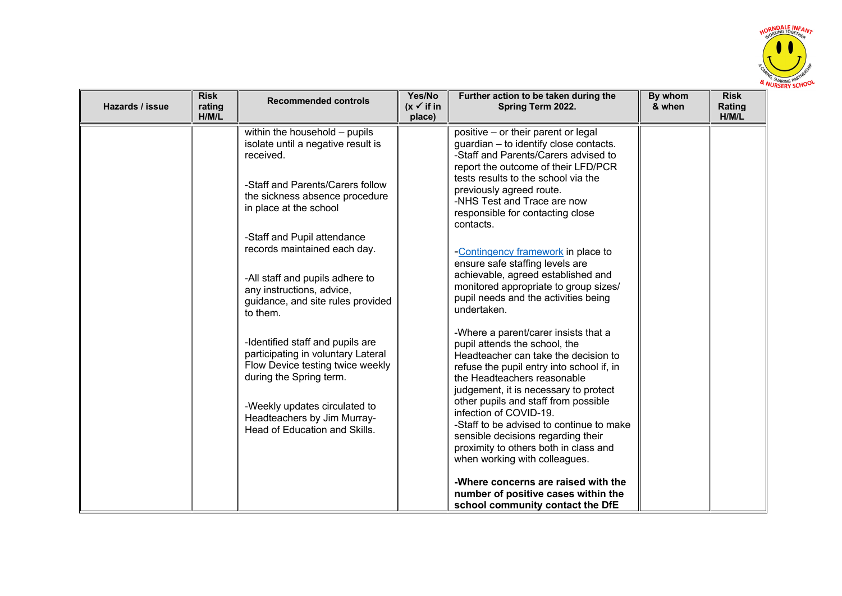

| Hazards / issue | <b>Risk</b><br>rating<br>H/M/L | <b>Recommended controls</b>                                                                                                                                            | Yes/No<br>$(x \checkmark)$ if in<br>place) | Further action to be taken during the<br>Spring Term 2022.                                                                                                                                                                                                                                           | By whom<br>& when | <b>Risk</b><br><b>Rating</b><br>H/M/L |
|-----------------|--------------------------------|------------------------------------------------------------------------------------------------------------------------------------------------------------------------|--------------------------------------------|------------------------------------------------------------------------------------------------------------------------------------------------------------------------------------------------------------------------------------------------------------------------------------------------------|-------------------|---------------------------------------|
|                 |                                | within the household - pupils<br>isolate until a negative result is<br>received.                                                                                       |                                            | positive - or their parent or legal<br>guardian - to identify close contacts.<br>-Staff and Parents/Carers advised to<br>report the outcome of their LFD/PCR                                                                                                                                         |                   |                                       |
|                 |                                | -Staff and Parents/Carers follow<br>the sickness absence procedure<br>in place at the school                                                                           |                                            | tests results to the school via the<br>previously agreed route.<br>-NHS Test and Trace are now<br>responsible for contacting close<br>contacts.                                                                                                                                                      |                   |                                       |
|                 |                                | -Staff and Pupil attendance<br>records maintained each day.                                                                                                            |                                            | -Contingency framework in place to<br>ensure safe staffing levels are                                                                                                                                                                                                                                |                   |                                       |
|                 |                                | -All staff and pupils adhere to<br>any instructions, advice,<br>guidance, and site rules provided<br>to them.                                                          |                                            | achievable, agreed established and<br>monitored appropriate to group sizes/<br>pupil needs and the activities being<br>undertaken.                                                                                                                                                                   |                   |                                       |
|                 |                                | -Identified staff and pupils are<br>participating in voluntary Lateral<br>Flow Device testing twice weekly<br>during the Spring term.<br>-Weekly updates circulated to |                                            | -Where a parent/carer insists that a<br>pupil attends the school, the<br>Headteacher can take the decision to<br>refuse the pupil entry into school if, in<br>the Headteachers reasonable<br>judgement, it is necessary to protect<br>other pupils and staff from possible<br>infection of COVID-19. |                   |                                       |
|                 |                                | Headteachers by Jim Murray-<br>Head of Education and Skills.                                                                                                           |                                            | -Staff to be advised to continue to make<br>sensible decisions regarding their<br>proximity to others both in class and<br>when working with colleagues.                                                                                                                                             |                   |                                       |
|                 |                                |                                                                                                                                                                        |                                            | -Where concerns are raised with the<br>number of positive cases within the<br>school community contact the DfE                                                                                                                                                                                       |                   |                                       |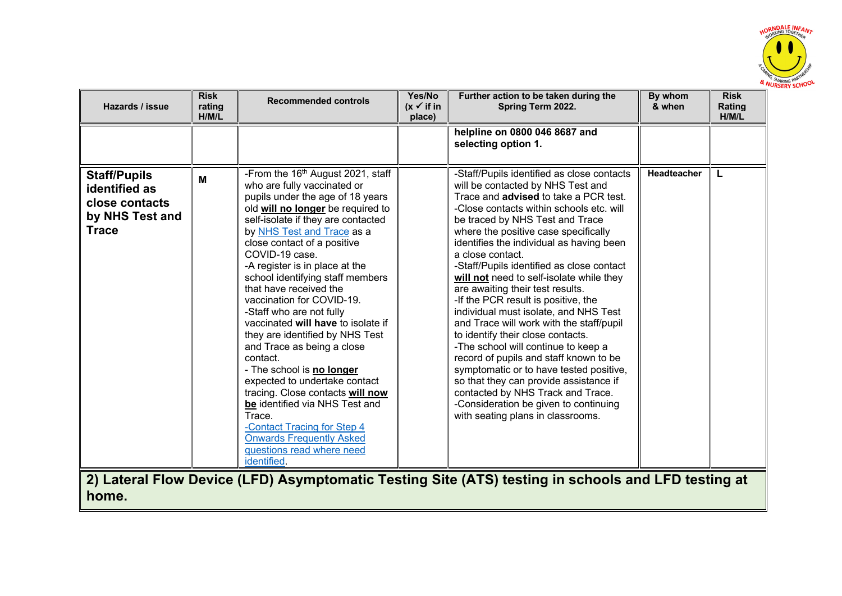

| Hazards / issue                                                                           | <b>Risk</b><br>rating<br>H/M/L | <b>Recommended controls</b>                                                                                                                                                                                                                                                                                                                                                                                                                                                                                                                                                                                                                                                                                                                                                                                        | Yes/No<br>$(x \checkmark)$ if in<br>place) | Further action to be taken during the<br>Spring Term 2022.                                                                                                                                                                                                                                                                                                                                                                                                                                                                                                                                                                                                                                                                                                                                                                                                                                                    | By whom<br>& when  | <b>Risk</b><br>Rating<br>H/M/L |
|-------------------------------------------------------------------------------------------|--------------------------------|--------------------------------------------------------------------------------------------------------------------------------------------------------------------------------------------------------------------------------------------------------------------------------------------------------------------------------------------------------------------------------------------------------------------------------------------------------------------------------------------------------------------------------------------------------------------------------------------------------------------------------------------------------------------------------------------------------------------------------------------------------------------------------------------------------------------|--------------------------------------------|---------------------------------------------------------------------------------------------------------------------------------------------------------------------------------------------------------------------------------------------------------------------------------------------------------------------------------------------------------------------------------------------------------------------------------------------------------------------------------------------------------------------------------------------------------------------------------------------------------------------------------------------------------------------------------------------------------------------------------------------------------------------------------------------------------------------------------------------------------------------------------------------------------------|--------------------|--------------------------------|
|                                                                                           |                                |                                                                                                                                                                                                                                                                                                                                                                                                                                                                                                                                                                                                                                                                                                                                                                                                                    |                                            | helpline on 0800 046 8687 and<br>selecting option 1.                                                                                                                                                                                                                                                                                                                                                                                                                                                                                                                                                                                                                                                                                                                                                                                                                                                          |                    |                                |
| <b>Staff/Pupils</b><br>identified as<br>close contacts<br>by NHS Test and<br><b>Trace</b> | M                              | -From the 16 <sup>th</sup> August 2021, staff<br>who are fully vaccinated or<br>pupils under the age of 18 years<br>old will no longer be required to<br>self-isolate if they are contacted<br>by NHS Test and Trace as a<br>close contact of a positive<br>COVID-19 case.<br>-A register is in place at the<br>school identifying staff members<br>that have received the<br>vaccination for COVID-19.<br>-Staff who are not fully<br>vaccinated will have to isolate if<br>they are identified by NHS Test<br>and Trace as being a close<br>contact.<br>- The school is no longer<br>expected to undertake contact<br>tracing. Close contacts will now<br>be identified via NHS Test and<br>Trace.<br>-Contact Tracing for Step 4<br><b>Onwards Frequently Asked</b><br>questions read where need<br>identified. |                                            | -Staff/Pupils identified as close contacts<br>will be contacted by NHS Test and<br>Trace and <b>advised</b> to take a PCR test.<br>-Close contacts within schools etc. will<br>be traced by NHS Test and Trace<br>where the positive case specifically<br>identifies the individual as having been<br>a close contact.<br>-Staff/Pupils identified as close contact<br>will not need to self-isolate while they<br>are awaiting their test results.<br>-If the PCR result is positive, the<br>individual must isolate, and NHS Test<br>and Trace will work with the staff/pupil<br>to identify their close contacts.<br>-The school will continue to keep a<br>record of pupils and staff known to be<br>symptomatic or to have tested positive,<br>so that they can provide assistance if<br>contacted by NHS Track and Trace.<br>-Consideration be given to continuing<br>with seating plans in classrooms. | <b>Headteacher</b> | L                              |

**2) Lateral Flow Device (LFD) Asymptomatic Testing Site (ATS) testing in schools and LFD testing at home.**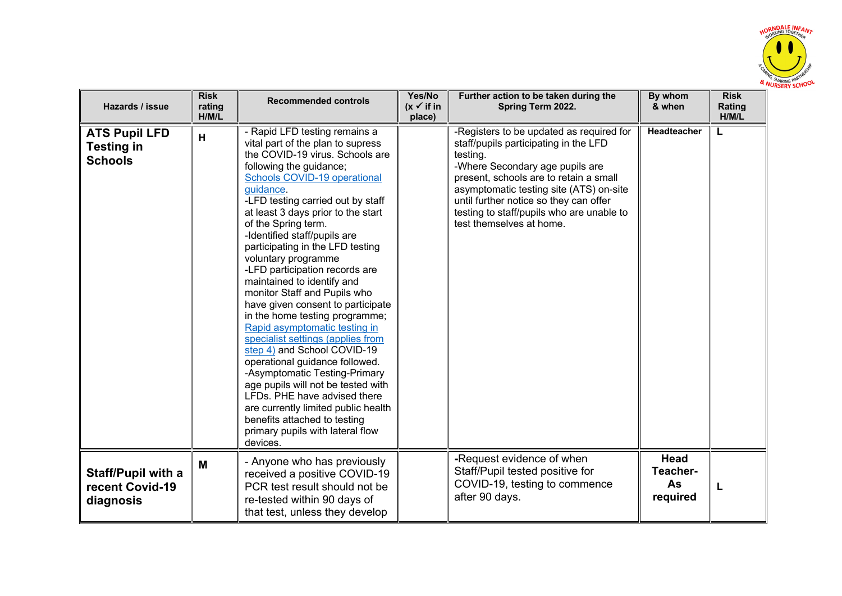

| Hazards / issue                                             | <b>Risk</b><br>rating<br>H/M/L | <b>Recommended controls</b>                                                                                                                                                                                                                                                                                                                                                                                                                                                                                                                                                                                                                                                                                                                                                                                                                                                                                            | Yes/No<br>$(x \checkmark)$ if in<br>place) | Further action to be taken during the<br>Spring Term 2022.                                                                                                                                                                                                                                                                               | By whom<br>& when                         | <b>Risk</b><br>Rating<br>H/M/L |
|-------------------------------------------------------------|--------------------------------|------------------------------------------------------------------------------------------------------------------------------------------------------------------------------------------------------------------------------------------------------------------------------------------------------------------------------------------------------------------------------------------------------------------------------------------------------------------------------------------------------------------------------------------------------------------------------------------------------------------------------------------------------------------------------------------------------------------------------------------------------------------------------------------------------------------------------------------------------------------------------------------------------------------------|--------------------------------------------|------------------------------------------------------------------------------------------------------------------------------------------------------------------------------------------------------------------------------------------------------------------------------------------------------------------------------------------|-------------------------------------------|--------------------------------|
| <b>ATS Pupil LFD</b><br><b>Testing in</b><br><b>Schools</b> | H                              | - Rapid LFD testing remains a<br>vital part of the plan to supress<br>the COVID-19 virus. Schools are<br>following the guidance;<br>Schools COVID-19 operational<br>quidance.<br>-LFD testing carried out by staff<br>at least 3 days prior to the start<br>of the Spring term.<br>-Identified staff/pupils are<br>participating in the LFD testing<br>voluntary programme<br>-LFD participation records are<br>maintained to identify and<br>monitor Staff and Pupils who<br>have given consent to participate<br>in the home testing programme;<br>Rapid asymptomatic testing in<br>specialist settings (applies from<br>step 4) and School COVID-19<br>operational guidance followed.<br>-Asymptomatic Testing-Primary<br>age pupils will not be tested with<br>LFDs. PHE have advised there<br>are currently limited public health<br>benefits attached to testing<br>primary pupils with lateral flow<br>devices. |                                            | -Registers to be updated as required for<br>staff/pupils participating in the LFD<br>testing.<br>-Where Secondary age pupils are<br>present, schools are to retain a small<br>asymptomatic testing site (ATS) on-site<br>until further notice so they can offer<br>testing to staff/pupils who are unable to<br>test themselves at home. | <b>Headteacher</b>                        |                                |
| <b>Staff/Pupil with a</b><br>recent Covid-19<br>diagnosis   | M                              | - Anyone who has previously<br>received a positive COVID-19<br>PCR test result should not be<br>re-tested within 90 days of<br>that test, unless they develop                                                                                                                                                                                                                                                                                                                                                                                                                                                                                                                                                                                                                                                                                                                                                          |                                            | -Request evidence of when<br>Staff/Pupil tested positive for<br>COVID-19, testing to commence<br>after 90 days.                                                                                                                                                                                                                          | <b>Head</b><br>Teacher-<br>As<br>required |                                |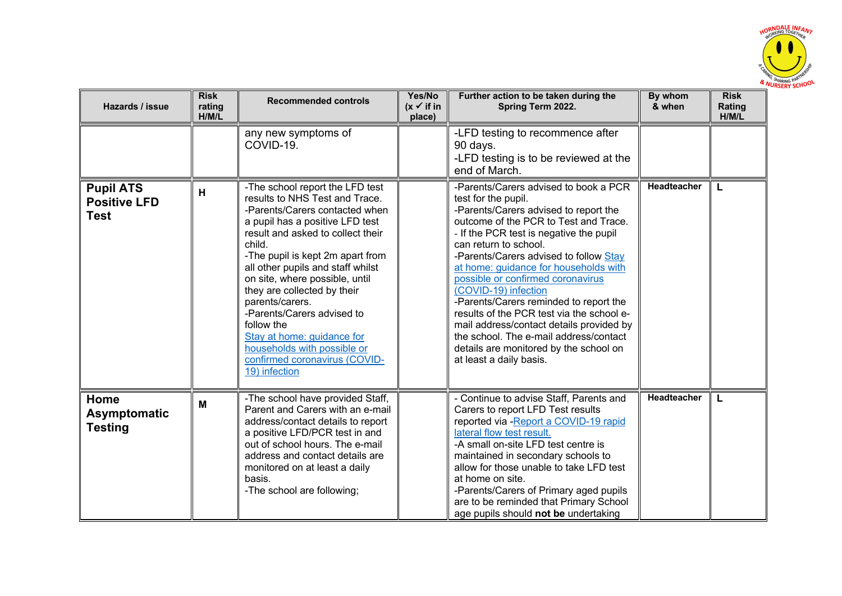

| Hazards / issue                                        | <b>Risk</b><br>rating<br>H/M/L | <b>Recommended controls</b>                                                                                                                                                                                                                                                                                                                                                                                                                                                                                   | Yes/No<br>$(x \checkmark)$ if in<br>place) | Further action to be taken during the<br>Spring Term 2022.                                                                                                                                                                                                                                                                                                                                                                                                                                                                                                                                                           | By whom<br>& when | <b>Risk</b><br>Rating<br>H/M/L |
|--------------------------------------------------------|--------------------------------|---------------------------------------------------------------------------------------------------------------------------------------------------------------------------------------------------------------------------------------------------------------------------------------------------------------------------------------------------------------------------------------------------------------------------------------------------------------------------------------------------------------|--------------------------------------------|----------------------------------------------------------------------------------------------------------------------------------------------------------------------------------------------------------------------------------------------------------------------------------------------------------------------------------------------------------------------------------------------------------------------------------------------------------------------------------------------------------------------------------------------------------------------------------------------------------------------|-------------------|--------------------------------|
|                                                        |                                | any new symptoms of<br>COVID-19.                                                                                                                                                                                                                                                                                                                                                                                                                                                                              |                                            | -LFD testing to recommence after<br>90 days.<br>-LFD testing is to be reviewed at the<br>end of March.                                                                                                                                                                                                                                                                                                                                                                                                                                                                                                               |                   |                                |
| <b>Pupil ATS</b><br><b>Positive LFD</b><br><b>Test</b> | H                              | -The school report the LFD test<br>results to NHS Test and Trace.<br>-Parents/Carers contacted when<br>a pupil has a positive LFD test<br>result and asked to collect their<br>child.<br>-The pupil is kept 2m apart from<br>all other pupils and staff whilst<br>on site, where possible, until<br>they are collected by their<br>parents/carers.<br>-Parents/Carers advised to<br>follow the<br>Stay at home: guidance for<br>households with possible or<br>confirmed coronavirus (COVID-<br>19) infection |                                            | -Parents/Carers advised to book a PCR<br>test for the pupil.<br>-Parents/Carers advised to report the<br>outcome of the PCR to Test and Trace.<br>- If the PCR test is negative the pupil<br>can return to school.<br>-Parents/Carers advised to follow Stay<br>at home: guidance for households with<br>possible or confirmed coronavirus<br>(COVID-19) infection<br>-Parents/Carers reminded to report the<br>results of the PCR test via the school e-<br>mail address/contact details provided by<br>the school. The e-mail address/contact<br>details are monitored by the school on<br>at least a daily basis. | Headteacher       |                                |
| Home<br>Asymptomatic<br><b>Testing</b>                 | M                              | -The school have provided Staff,<br>Parent and Carers with an e-mail<br>address/contact details to report<br>a positive LFD/PCR test in and<br>out of school hours. The e-mail<br>address and contact details are<br>monitored on at least a daily<br>basis.<br>-The school are following;                                                                                                                                                                                                                    |                                            | - Continue to advise Staff, Parents and<br>Carers to report LFD Test results<br>reported via - Report a COVID-19 rapid<br>lateral flow test result.<br>-A small on-site LFD test centre is<br>maintained in secondary schools to<br>allow for those unable to take LFD test<br>at home on site.<br>-Parents/Carers of Primary aged pupils<br>are to be reminded that Primary School<br>age pupils should not be undertaking                                                                                                                                                                                          | Headteacher       | L                              |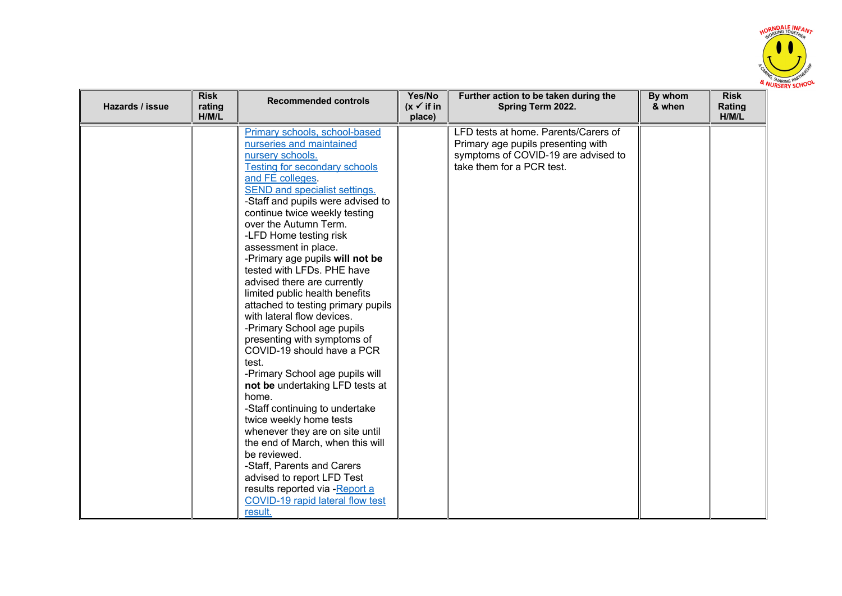

| Hazards / issue | <b>Risk</b><br>rating<br>H/M/L | <b>Recommended controls</b>                                                                                                                                                                                                                                                                                                                                                                                                                                                                                                                                                                                                                                                                                                                                                                                                                                                                                                                                                                                           | Yes/No<br>$(x \vee$ if in<br>place) | Further action to be taken during the<br>Spring Term 2022.                                                                                     | By whom<br>& when | <b>Risk</b><br>Rating<br>H/M/L |
|-----------------|--------------------------------|-----------------------------------------------------------------------------------------------------------------------------------------------------------------------------------------------------------------------------------------------------------------------------------------------------------------------------------------------------------------------------------------------------------------------------------------------------------------------------------------------------------------------------------------------------------------------------------------------------------------------------------------------------------------------------------------------------------------------------------------------------------------------------------------------------------------------------------------------------------------------------------------------------------------------------------------------------------------------------------------------------------------------|-------------------------------------|------------------------------------------------------------------------------------------------------------------------------------------------|-------------------|--------------------------------|
|                 |                                | Primary schools, school-based<br>nurseries and maintained<br>nursery schools.<br><b>Testing for secondary schools</b><br>and FE colleges.<br>SEND and specialist settings.<br>-Staff and pupils were advised to<br>continue twice weekly testing<br>over the Autumn Term.<br>-LFD Home testing risk<br>assessment in place.<br>-Primary age pupils will not be<br>tested with LFDs. PHE have<br>advised there are currently<br>limited public health benefits<br>attached to testing primary pupils<br>with lateral flow devices.<br>-Primary School age pupils<br>presenting with symptoms of<br>COVID-19 should have a PCR<br>test.<br>-Primary School age pupils will<br>not be undertaking LFD tests at<br>home.<br>-Staff continuing to undertake<br>twice weekly home tests<br>whenever they are on site until<br>the end of March, when this will<br>be reviewed.<br>-Staff, Parents and Carers<br>advised to report LFD Test<br>results reported via -Report a<br>COVID-19 rapid lateral flow test<br>result. |                                     | LFD tests at home. Parents/Carers of<br>Primary age pupils presenting with<br>symptoms of COVID-19 are advised to<br>take them for a PCR test. |                   |                                |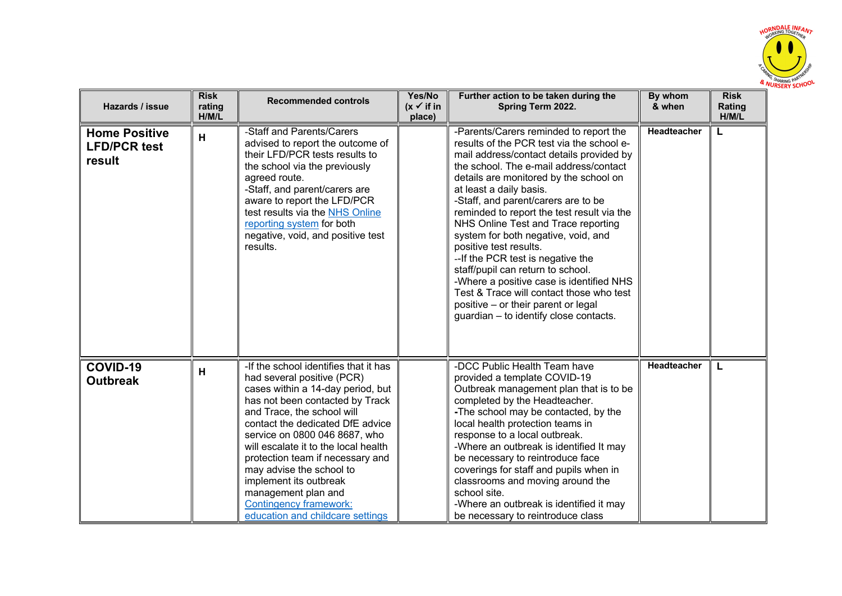

| Hazards / issue                                       | <b>Risk</b><br>rating<br>H/M/L | <b>Recommended controls</b>                                                                                                                                                                                                                                                                                                                                                                                                                                                  | Yes/No<br>$(x \checkmark)$ if in<br>place) | Further action to be taken during the<br>Spring Term 2022.                                                                                                                                                                                                                                                                                                                                                                                                                                                                                                                                                                                                                                      | By whom<br>& when  | <b>Risk</b><br>Rating<br>H/M/L |
|-------------------------------------------------------|--------------------------------|------------------------------------------------------------------------------------------------------------------------------------------------------------------------------------------------------------------------------------------------------------------------------------------------------------------------------------------------------------------------------------------------------------------------------------------------------------------------------|--------------------------------------------|-------------------------------------------------------------------------------------------------------------------------------------------------------------------------------------------------------------------------------------------------------------------------------------------------------------------------------------------------------------------------------------------------------------------------------------------------------------------------------------------------------------------------------------------------------------------------------------------------------------------------------------------------------------------------------------------------|--------------------|--------------------------------|
| <b>Home Positive</b><br><b>LFD/PCR test</b><br>result | н                              | -Staff and Parents/Carers<br>advised to report the outcome of<br>their LFD/PCR tests results to<br>the school via the previously<br>agreed route.<br>-Staff, and parent/carers are<br>aware to report the LFD/PCR<br>test results via the NHS Online<br>reporting system for both<br>negative, void, and positive test<br>results.                                                                                                                                           |                                            | -Parents/Carers reminded to report the<br>results of the PCR test via the school e-<br>mail address/contact details provided by<br>the school. The e-mail address/contact<br>details are monitored by the school on<br>at least a daily basis.<br>-Staff, and parent/carers are to be<br>reminded to report the test result via the<br>NHS Online Test and Trace reporting<br>system for both negative, void, and<br>positive test results.<br>-- If the PCR test is negative the<br>staff/pupil can return to school.<br>-Where a positive case is identified NHS<br>Test & Trace will contact those who test<br>positive – or their parent or legal<br>guardian - to identify close contacts. | <b>Headteacher</b> |                                |
| COVID-19<br><b>Outbreak</b>                           | н                              | -If the school identifies that it has<br>had several positive (PCR)<br>cases within a 14-day period, but<br>has not been contacted by Track<br>and Trace, the school will<br>contact the dedicated DfE advice<br>service on 0800 046 8687, who<br>will escalate it to the local health<br>protection team if necessary and<br>may advise the school to<br>implement its outbreak<br>management plan and<br><b>Contingency framework:</b><br>education and childcare settings |                                            | -DCC Public Health Team have<br>provided a template COVID-19<br>Outbreak management plan that is to be<br>completed by the Headteacher.<br>-The school may be contacted, by the<br>local health protection teams in<br>response to a local outbreak.<br>-Where an outbreak is identified It may<br>be necessary to reintroduce face<br>coverings for staff and pupils when in<br>classrooms and moving around the<br>school site.<br>-Where an outbreak is identified it may<br>be necessary to reintroduce class                                                                                                                                                                               | <b>Headteacher</b> |                                |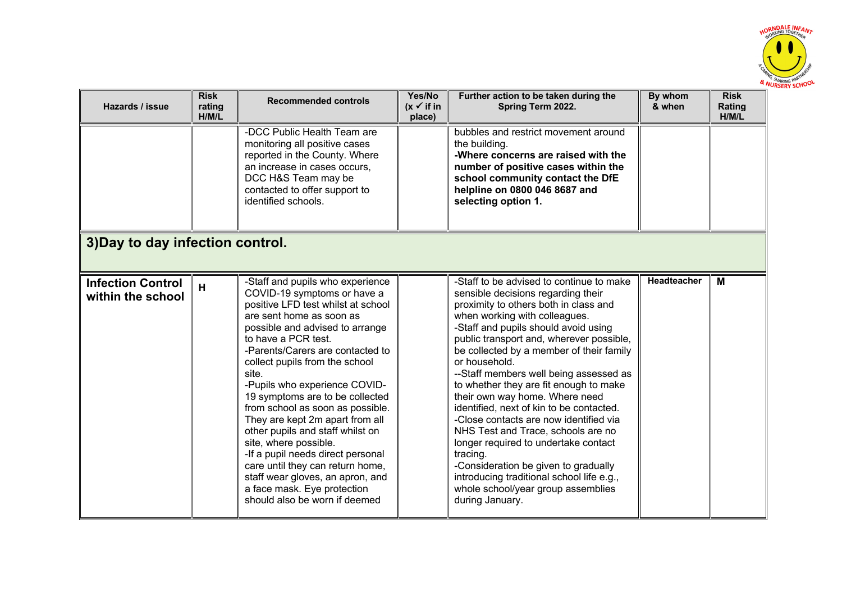

| Hazards / issue                               | <b>Risk</b><br>rating<br>H/M/L | <b>Recommended controls</b>                                                                                                                                                                                                                                                                                                                                                                                                                                                                                                                                                                                                                                     | Yes/No<br>$(x \vee$ if in<br>place) | Further action to be taken during the<br>Spring Term 2022.                                                                                                                                                                                                                                                                                                                                                                                                                                                                                                                                                                                                                                                                                                    | By whom<br>& when | <b>Risk</b><br>Rating<br>H/M/L |
|-----------------------------------------------|--------------------------------|-----------------------------------------------------------------------------------------------------------------------------------------------------------------------------------------------------------------------------------------------------------------------------------------------------------------------------------------------------------------------------------------------------------------------------------------------------------------------------------------------------------------------------------------------------------------------------------------------------------------------------------------------------------------|-------------------------------------|---------------------------------------------------------------------------------------------------------------------------------------------------------------------------------------------------------------------------------------------------------------------------------------------------------------------------------------------------------------------------------------------------------------------------------------------------------------------------------------------------------------------------------------------------------------------------------------------------------------------------------------------------------------------------------------------------------------------------------------------------------------|-------------------|--------------------------------|
|                                               |                                | -DCC Public Health Team are<br>monitoring all positive cases<br>reported in the County. Where<br>an increase in cases occurs,<br>DCC H&S Team may be<br>contacted to offer support to<br>identified schools.                                                                                                                                                                                                                                                                                                                                                                                                                                                    |                                     | bubbles and restrict movement around<br>the building.<br>-Where concerns are raised with the<br>number of positive cases within the<br>school community contact the DfE<br>helpline on 0800 046 8687 and<br>selecting option 1.                                                                                                                                                                                                                                                                                                                                                                                                                                                                                                                               |                   |                                |
| 3) Day to day infection control.              |                                |                                                                                                                                                                                                                                                                                                                                                                                                                                                                                                                                                                                                                                                                 |                                     |                                                                                                                                                                                                                                                                                                                                                                                                                                                                                                                                                                                                                                                                                                                                                               |                   |                                |
| <b>Infection Control</b><br>within the school | H                              | -Staff and pupils who experience<br>COVID-19 symptoms or have a<br>positive LFD test whilst at school<br>are sent home as soon as<br>possible and advised to arrange<br>to have a PCR test.<br>-Parents/Carers are contacted to<br>collect pupils from the school<br>site.<br>-Pupils who experience COVID-<br>19 symptoms are to be collected<br>from school as soon as possible.<br>They are kept 2m apart from all<br>other pupils and staff whilst on<br>site, where possible.<br>-If a pupil needs direct personal<br>care until they can return home,<br>staff wear gloves, an apron, and<br>a face mask. Eye protection<br>should also be worn if deemed |                                     | -Staff to be advised to continue to make<br>sensible decisions regarding their<br>proximity to others both in class and<br>when working with colleagues.<br>-Staff and pupils should avoid using<br>public transport and, wherever possible,<br>be collected by a member of their family<br>or household.<br>--Staff members well being assessed as<br>to whether they are fit enough to make<br>their own way home. Where need<br>identified, next of kin to be contacted.<br>-Close contacts are now identified via<br>NHS Test and Trace, schools are no<br>longer required to undertake contact<br>tracing.<br>-Consideration be given to gradually<br>introducing traditional school life e.g.,<br>whole school/year group assemblies<br>during January. | Headteacher       | M                              |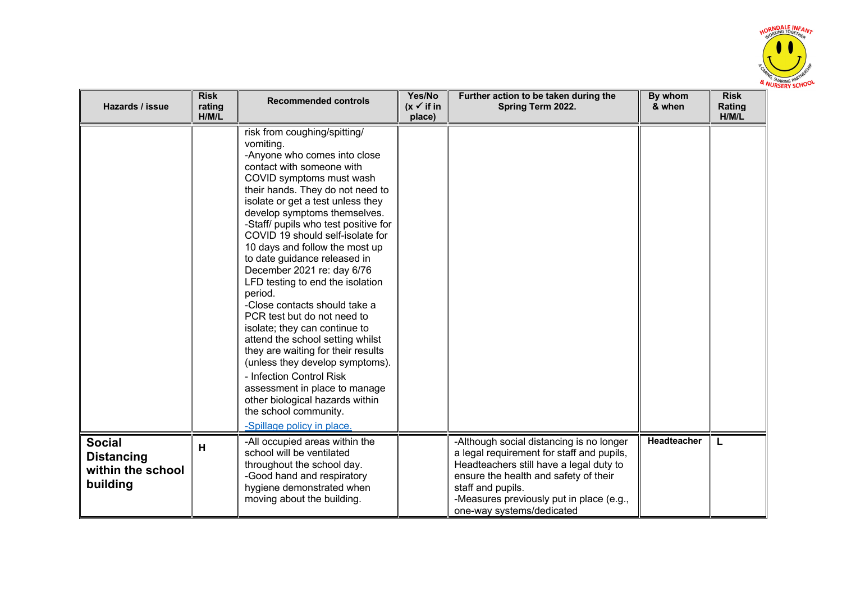

| Hazards / issue                                                     | <b>Risk</b><br>rating<br>H/M/L | <b>Recommended controls</b>                                                                                                                                                                                                                                                                                                                                                                                                                                                                                                                                                                                                                                                                                                                                                                                                                 | Yes/No<br>$(x \vee$ if in<br>place) | Further action to be taken during the<br>Spring Term 2022.                                                                                                                                                                                                              | By whom<br>& when  | <b>Risk</b><br>Rating<br>H/M/L |
|---------------------------------------------------------------------|--------------------------------|---------------------------------------------------------------------------------------------------------------------------------------------------------------------------------------------------------------------------------------------------------------------------------------------------------------------------------------------------------------------------------------------------------------------------------------------------------------------------------------------------------------------------------------------------------------------------------------------------------------------------------------------------------------------------------------------------------------------------------------------------------------------------------------------------------------------------------------------|-------------------------------------|-------------------------------------------------------------------------------------------------------------------------------------------------------------------------------------------------------------------------------------------------------------------------|--------------------|--------------------------------|
|                                                                     |                                | risk from coughing/spitting/<br>vomiting.<br>-Anyone who comes into close<br>contact with someone with<br>COVID symptoms must wash<br>their hands. They do not need to<br>isolate or get a test unless they<br>develop symptoms themselves.<br>-Staff/ pupils who test positive for<br>COVID 19 should self-isolate for<br>10 days and follow the most up<br>to date guidance released in<br>December 2021 re: day 6/76<br>LFD testing to end the isolation<br>period.<br>-Close contacts should take a<br>PCR test but do not need to<br>isolate; they can continue to<br>attend the school setting whilst<br>they are waiting for their results<br>(unless they develop symptoms).<br>- Infection Control Risk<br>assessment in place to manage<br>other biological hazards within<br>the school community.<br>-Spillage policy in place. |                                     |                                                                                                                                                                                                                                                                         |                    |                                |
| <b>Social</b><br><b>Distancing</b><br>within the school<br>building | н                              | -All occupied areas within the<br>school will be ventilated<br>throughout the school day.<br>-Good hand and respiratory<br>hygiene demonstrated when<br>moving about the building.                                                                                                                                                                                                                                                                                                                                                                                                                                                                                                                                                                                                                                                          |                                     | -Although social distancing is no longer<br>a legal requirement for staff and pupils,<br>Headteachers still have a legal duty to<br>ensure the health and safety of their<br>staff and pupils.<br>-Measures previously put in place (e.g.,<br>one-way systems/dedicated | <b>Headteacher</b> | L                              |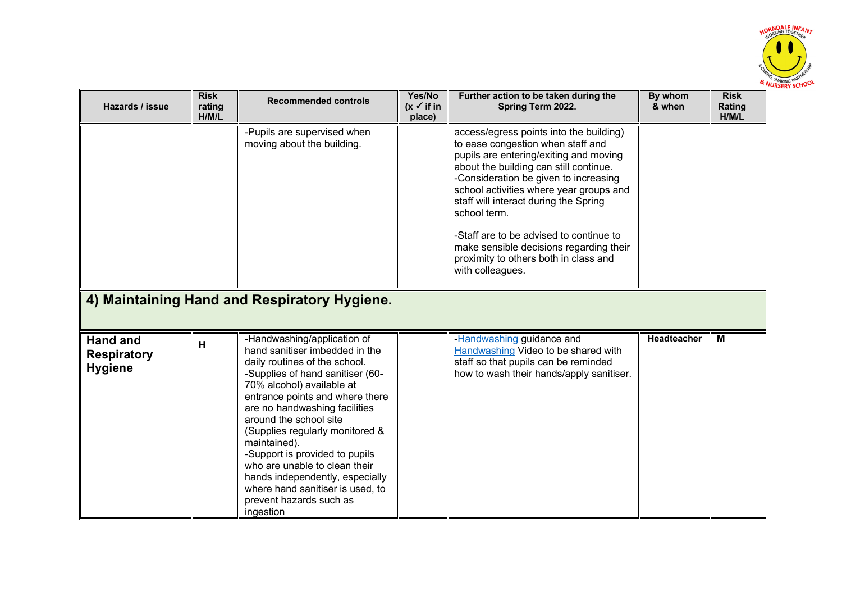

| Hazards / issue                                         | <b>Risk</b><br>rating<br>H/M/L | <b>Recommended controls</b>                                                                                                                                                                                                                                                                                                                                                                                                                                                                        | Yes/No<br>$(x \vee$ if in<br>place) | Further action to be taken during the<br>Spring Term 2022.                                                                                                                                                                                                                                                                                                                                                                                                       | By whom<br>& when | <b>Risk</b><br>Rating<br>H/M/L |
|---------------------------------------------------------|--------------------------------|----------------------------------------------------------------------------------------------------------------------------------------------------------------------------------------------------------------------------------------------------------------------------------------------------------------------------------------------------------------------------------------------------------------------------------------------------------------------------------------------------|-------------------------------------|------------------------------------------------------------------------------------------------------------------------------------------------------------------------------------------------------------------------------------------------------------------------------------------------------------------------------------------------------------------------------------------------------------------------------------------------------------------|-------------------|--------------------------------|
|                                                         |                                | -Pupils are supervised when<br>moving about the building.                                                                                                                                                                                                                                                                                                                                                                                                                                          |                                     | access/egress points into the building)<br>to ease congestion when staff and<br>pupils are entering/exiting and moving<br>about the building can still continue.<br>-Consideration be given to increasing<br>school activities where year groups and<br>staff will interact during the Spring<br>school term.<br>-Staff are to be advised to continue to<br>make sensible decisions regarding their<br>proximity to others both in class and<br>with colleagues. |                   |                                |
|                                                         |                                | 4) Maintaining Hand and Respiratory Hygiene.                                                                                                                                                                                                                                                                                                                                                                                                                                                       |                                     |                                                                                                                                                                                                                                                                                                                                                                                                                                                                  |                   |                                |
| <b>Hand and</b><br><b>Respiratory</b><br><b>Hygiene</b> | н                              | -Handwashing/application of<br>hand sanitiser imbedded in the<br>daily routines of the school.<br>-Supplies of hand sanitiser (60-<br>70% alcohol) available at<br>entrance points and where there<br>are no handwashing facilities<br>around the school site<br>(Supplies regularly monitored &<br>maintained).<br>-Support is provided to pupils<br>who are unable to clean their<br>hands independently, especially<br>where hand sanitiser is used, to<br>prevent hazards such as<br>ingestion |                                     | -Handwashing guidance and<br>Handwashing Video to be shared with<br>staff so that pupils can be reminded<br>how to wash their hands/apply sanitiser.                                                                                                                                                                                                                                                                                                             | Headteacher       | M                              |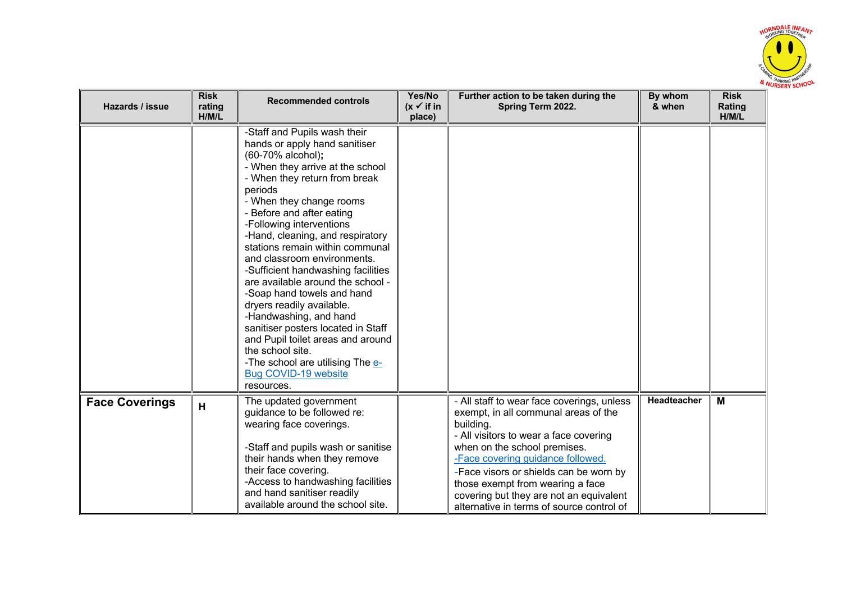

| Hazards / issue       | <b>Risk</b><br>rating<br>H/M/L | <b>Recommended controls</b>                                                                                                                                                                                                                                                                                                                                                                                                                                                                                                                                                                                                                                                                            | Yes/No<br>$(x \vee$ if in<br>place) | Further action to be taken during the<br>Spring Term 2022.                                                                                                                                                                                                                                                                                                                           | By whom<br>& when | <b>Risk</b><br>Rating<br>H/M/L |
|-----------------------|--------------------------------|--------------------------------------------------------------------------------------------------------------------------------------------------------------------------------------------------------------------------------------------------------------------------------------------------------------------------------------------------------------------------------------------------------------------------------------------------------------------------------------------------------------------------------------------------------------------------------------------------------------------------------------------------------------------------------------------------------|-------------------------------------|--------------------------------------------------------------------------------------------------------------------------------------------------------------------------------------------------------------------------------------------------------------------------------------------------------------------------------------------------------------------------------------|-------------------|--------------------------------|
|                       |                                | -Staff and Pupils wash their<br>hands or apply hand sanitiser<br>(60-70% alcohol);<br>- When they arrive at the school<br>- When they return from break<br>periods<br>- When they change rooms<br>- Before and after eating<br>-Following interventions<br>-Hand, cleaning, and respiratory<br>stations remain within communal<br>and classroom environments.<br>-Sufficient handwashing facilities<br>are available around the school -<br>-Soap hand towels and hand<br>dryers readily available.<br>-Handwashing, and hand<br>sanitiser posters located in Staff<br>and Pupil toilet areas and around<br>the school site.<br>-The school are utilising The e-<br>Bug COVID-19 website<br>resources. |                                     |                                                                                                                                                                                                                                                                                                                                                                                      |                   |                                |
| <b>Face Coverings</b> | H                              | The updated government<br>guidance to be followed re:<br>wearing face coverings.<br>-Staff and pupils wash or sanitise<br>their hands when they remove<br>their face covering.<br>-Access to handwashing facilities<br>and hand sanitiser readily<br>available around the school site.                                                                                                                                                                                                                                                                                                                                                                                                                 |                                     | - All staff to wear face coverings, unless<br>exempt, in all communal areas of the<br>building.<br>- All visitors to wear a face covering<br>when on the school premises.<br>-Face covering guidance followed.<br>-Face visors or shields can be worn by<br>those exempt from wearing a face<br>covering but they are not an equivalent<br>alternative in terms of source control of | Headteacher       | M                              |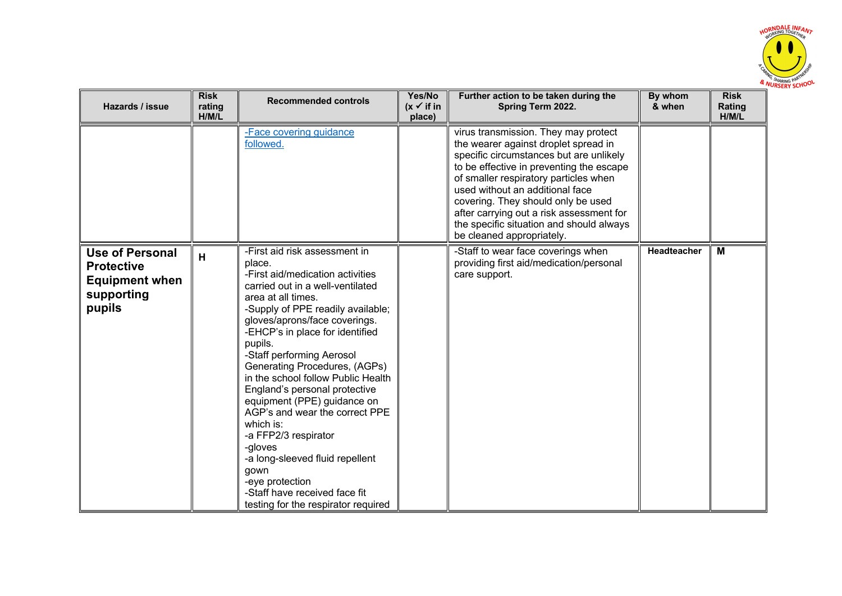

| Hazards / issue                                                                              | <b>Risk</b><br>rating<br>H/M/L | <b>Recommended controls</b>                                                                                                                                                                                                                                                                                                                                                                                                                                                                                                                                                                                                                           | Yes/No<br>$(x \checkmark)$ if in<br>place) | Further action to be taken during the<br>Spring Term 2022.                                                                                                                                                                                                                                                                                                                                                 | By whom<br>& when | <b>Risk</b><br>Rating<br>H/M/L |
|----------------------------------------------------------------------------------------------|--------------------------------|-------------------------------------------------------------------------------------------------------------------------------------------------------------------------------------------------------------------------------------------------------------------------------------------------------------------------------------------------------------------------------------------------------------------------------------------------------------------------------------------------------------------------------------------------------------------------------------------------------------------------------------------------------|--------------------------------------------|------------------------------------------------------------------------------------------------------------------------------------------------------------------------------------------------------------------------------------------------------------------------------------------------------------------------------------------------------------------------------------------------------------|-------------------|--------------------------------|
|                                                                                              |                                | -Face covering guidance<br>followed.                                                                                                                                                                                                                                                                                                                                                                                                                                                                                                                                                                                                                  |                                            | virus transmission. They may protect<br>the wearer against droplet spread in<br>specific circumstances but are unlikely<br>to be effective in preventing the escape<br>of smaller respiratory particles when<br>used without an additional face<br>covering. They should only be used<br>after carrying out a risk assessment for<br>the specific situation and should always<br>be cleaned appropriately. |                   |                                |
| <b>Use of Personal</b><br><b>Protective</b><br><b>Equipment when</b><br>supporting<br>pupils | H                              | -First aid risk assessment in<br>place.<br>-First aid/medication activities<br>carried out in a well-ventilated<br>area at all times.<br>-Supply of PPE readily available;<br>gloves/aprons/face coverings.<br>-EHCP's in place for identified<br>pupils.<br>-Staff performing Aerosol<br>Generating Procedures, (AGPs)<br>in the school follow Public Health<br>England's personal protective<br>equipment (PPE) guidance on<br>AGP's and wear the correct PPE<br>which is:<br>-a FFP2/3 respirator<br>-gloves<br>-a long-sleeved fluid repellent<br>gown<br>-eye protection<br>-Staff have received face fit<br>testing for the respirator required |                                            | -Staff to wear face coverings when<br>providing first aid/medication/personal<br>care support.                                                                                                                                                                                                                                                                                                             | Headteacher       | M                              |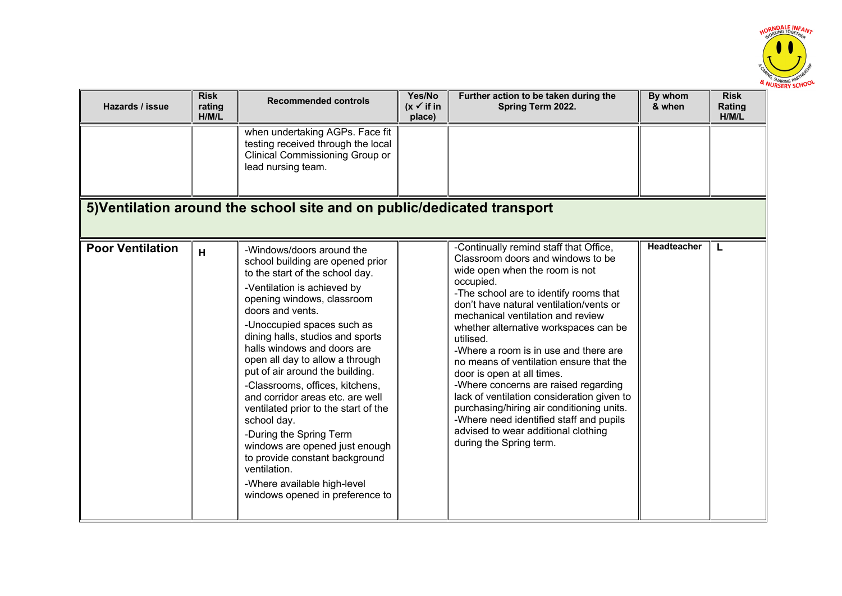

| Hazards / issue         | <b>Risk</b><br>rating<br>H/M/L | <b>Recommended controls</b>                                                                                                                                                                                                                                                                                                                                                                                                                                                                                                                                                                                                                                             | Yes/No<br>$(x \checkmark)$ if in<br>place) | Further action to be taken during the<br>Spring Term 2022.                                                                                                                                                                                                                                                                                                                                                                                                                                                                                                                                                                                                                   | By whom<br>& when  | <b>Risk</b><br>Rating<br>H/M/L |
|-------------------------|--------------------------------|-------------------------------------------------------------------------------------------------------------------------------------------------------------------------------------------------------------------------------------------------------------------------------------------------------------------------------------------------------------------------------------------------------------------------------------------------------------------------------------------------------------------------------------------------------------------------------------------------------------------------------------------------------------------------|--------------------------------------------|------------------------------------------------------------------------------------------------------------------------------------------------------------------------------------------------------------------------------------------------------------------------------------------------------------------------------------------------------------------------------------------------------------------------------------------------------------------------------------------------------------------------------------------------------------------------------------------------------------------------------------------------------------------------------|--------------------|--------------------------------|
|                         |                                | when undertaking AGPs. Face fit<br>testing received through the local<br>Clinical Commissioning Group or<br>lead nursing team.                                                                                                                                                                                                                                                                                                                                                                                                                                                                                                                                          |                                            |                                                                                                                                                                                                                                                                                                                                                                                                                                                                                                                                                                                                                                                                              |                    |                                |
|                         |                                | 5) Ventilation around the school site and on public/dedicated transport                                                                                                                                                                                                                                                                                                                                                                                                                                                                                                                                                                                                 |                                            |                                                                                                                                                                                                                                                                                                                                                                                                                                                                                                                                                                                                                                                                              |                    |                                |
| <b>Poor Ventilation</b> | H                              | -Windows/doors around the<br>school building are opened prior<br>to the start of the school day.<br>-Ventilation is achieved by<br>opening windows, classroom<br>doors and vents.<br>-Unoccupied spaces such as<br>dining halls, studios and sports<br>halls windows and doors are<br>open all day to allow a through<br>put of air around the building.<br>-Classrooms, offices, kitchens,<br>and corridor areas etc. are well<br>ventilated prior to the start of the<br>school day.<br>-During the Spring Term<br>windows are opened just enough<br>to provide constant background<br>ventilation.<br>-Where available high-level<br>windows opened in preference to |                                            | -Continually remind staff that Office,<br>Classroom doors and windows to be<br>wide open when the room is not<br>occupied.<br>-The school are to identify rooms that<br>don't have natural ventilation/vents or<br>mechanical ventilation and review<br>whether alternative workspaces can be<br>utilised.<br>-Where a room is in use and there are<br>no means of ventilation ensure that the<br>door is open at all times.<br>-Where concerns are raised regarding<br>lack of ventilation consideration given to<br>purchasing/hiring air conditioning units.<br>-Where need identified staff and pupils<br>advised to wear additional clothing<br>during the Spring term. | <b>Headteacher</b> |                                |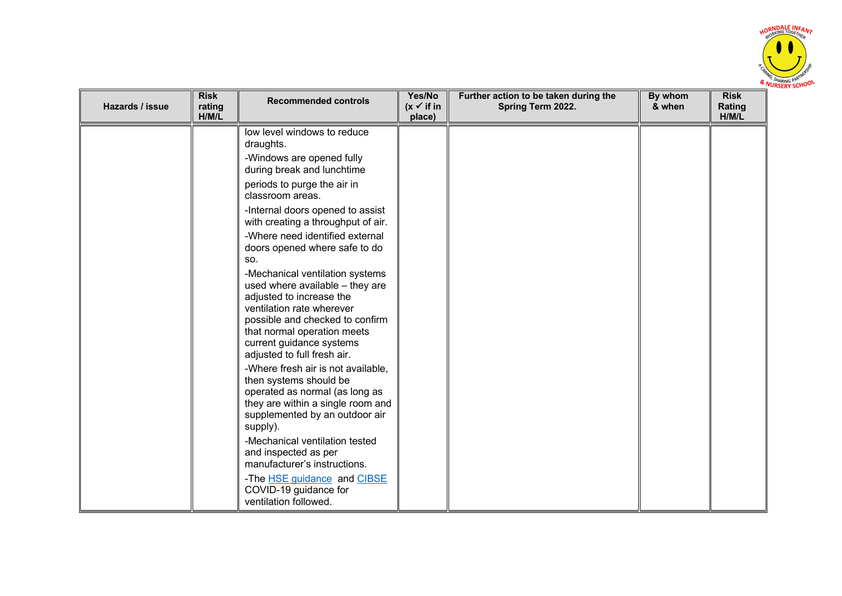

| Hazards / issue | <b>Risk</b><br>rating<br>H/M/L | <b>Recommended controls</b>                                                                                                                                                                                                                                                                                                                                                                                                                                                                                                                                                                                                                                                                                                                                                                                                                                                                                                             | Yes/No<br>$(x \vee$ if in<br>place) | Further action to be taken during the<br>Spring Term 2022. | By whom<br>& when | <b>Risk</b><br>Rating<br>H/M/L |
|-----------------|--------------------------------|-----------------------------------------------------------------------------------------------------------------------------------------------------------------------------------------------------------------------------------------------------------------------------------------------------------------------------------------------------------------------------------------------------------------------------------------------------------------------------------------------------------------------------------------------------------------------------------------------------------------------------------------------------------------------------------------------------------------------------------------------------------------------------------------------------------------------------------------------------------------------------------------------------------------------------------------|-------------------------------------|------------------------------------------------------------|-------------------|--------------------------------|
|                 |                                | low level windows to reduce<br>draughts.<br>-Windows are opened fully<br>during break and lunchtime<br>periods to purge the air in<br>classroom areas.<br>-Internal doors opened to assist<br>with creating a throughput of air.<br>-Where need identified external<br>doors opened where safe to do<br>SO.<br>-Mechanical ventilation systems<br>used where available - they are<br>adjusted to increase the<br>ventilation rate wherever<br>possible and checked to confirm<br>that normal operation meets<br>current guidance systems<br>adjusted to full fresh air.<br>-Where fresh air is not available,<br>then systems should be<br>operated as normal (as long as<br>they are within a single room and<br>supplemented by an outdoor air<br>supply).<br>-Mechanical ventilation tested<br>and inspected as per<br>manufacturer's instructions.<br>-The HSE guidance and CIBSE<br>COVID-19 guidance for<br>ventilation followed. |                                     |                                                            |                   |                                |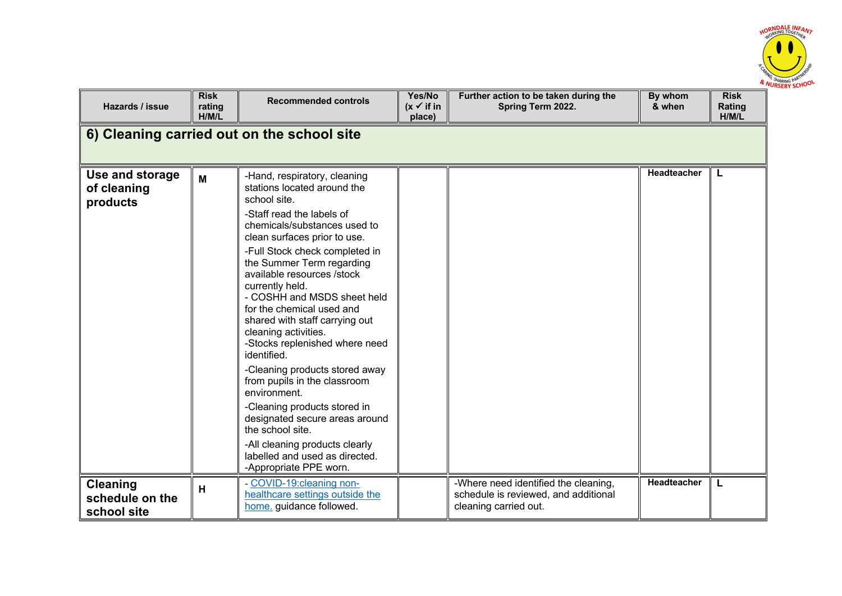

| Hazards / issue                                   | <b>Risk</b><br>rating<br>H/M/L | <b>Recommended controls</b>                                                                                                                                                                                                                                                                                                                                                                                                                                                                                                                                                                                                                                                                                                           | Yes/No<br>$(x \vee$ if in<br>place) | Further action to be taken during the<br>Spring Term 2022.                                            | By whom<br>& when  | <b>Risk</b><br>Rating<br>H/M/L |  |  |  |
|---------------------------------------------------|--------------------------------|---------------------------------------------------------------------------------------------------------------------------------------------------------------------------------------------------------------------------------------------------------------------------------------------------------------------------------------------------------------------------------------------------------------------------------------------------------------------------------------------------------------------------------------------------------------------------------------------------------------------------------------------------------------------------------------------------------------------------------------|-------------------------------------|-------------------------------------------------------------------------------------------------------|--------------------|--------------------------------|--|--|--|
| 6) Cleaning carried out on the school site        |                                |                                                                                                                                                                                                                                                                                                                                                                                                                                                                                                                                                                                                                                                                                                                                       |                                     |                                                                                                       |                    |                                |  |  |  |
| Use and storage<br>of cleaning<br>products        | M                              | -Hand, respiratory, cleaning<br>stations located around the<br>school site.<br>-Staff read the labels of<br>chemicals/substances used to<br>clean surfaces prior to use.<br>-Full Stock check completed in<br>the Summer Term regarding<br>available resources /stock<br>currently held.<br>- COSHH and MSDS sheet held<br>for the chemical used and<br>shared with staff carrying out<br>cleaning activities.<br>-Stocks replenished where need<br>identified.<br>-Cleaning products stored away<br>from pupils in the classroom<br>environment.<br>-Cleaning products stored in<br>designated secure areas around<br>the school site.<br>-All cleaning products clearly<br>labelled and used as directed.<br>-Appropriate PPE worn. |                                     |                                                                                                       | Headteacher        | L                              |  |  |  |
| <b>Cleaning</b><br>schedule on the<br>school site | н                              | - COVID-19: cleaning non-<br>healthcare settings outside the<br>home. guidance followed.                                                                                                                                                                                                                                                                                                                                                                                                                                                                                                                                                                                                                                              |                                     | -Where need identified the cleaning,<br>schedule is reviewed, and additional<br>cleaning carried out. | <b>Headteacher</b> | L                              |  |  |  |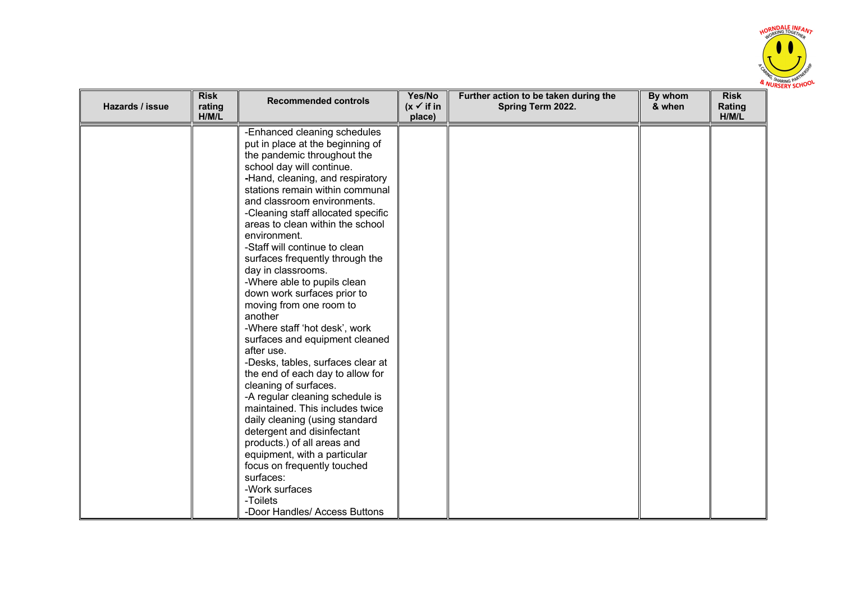

| Hazards / issue | <b>Risk</b><br>rating<br>H/M/L | <b>Recommended controls</b>                                                                                                                                                                                                                                                                                                                                                                                                                                                                                                                                                                                                                                                                                                                                                                                                                                                                                                                                                                                                   | Yes/No<br>$(x \checkmark)$ if in<br>place) | Further action to be taken during the<br>Spring Term 2022. | By whom<br>& when | <b>Risk</b><br>Rating<br>H/M/L |
|-----------------|--------------------------------|-------------------------------------------------------------------------------------------------------------------------------------------------------------------------------------------------------------------------------------------------------------------------------------------------------------------------------------------------------------------------------------------------------------------------------------------------------------------------------------------------------------------------------------------------------------------------------------------------------------------------------------------------------------------------------------------------------------------------------------------------------------------------------------------------------------------------------------------------------------------------------------------------------------------------------------------------------------------------------------------------------------------------------|--------------------------------------------|------------------------------------------------------------|-------------------|--------------------------------|
|                 |                                | -Enhanced cleaning schedules<br>put in place at the beginning of<br>the pandemic throughout the<br>school day will continue.<br>-Hand, cleaning, and respiratory<br>stations remain within communal<br>and classroom environments.<br>-Cleaning staff allocated specific<br>areas to clean within the school<br>environment.<br>-Staff will continue to clean<br>surfaces frequently through the<br>day in classrooms.<br>-Where able to pupils clean<br>down work surfaces prior to<br>moving from one room to<br>another<br>-Where staff 'hot desk', work<br>surfaces and equipment cleaned<br>after use.<br>-Desks, tables, surfaces clear at<br>the end of each day to allow for<br>cleaning of surfaces.<br>-A regular cleaning schedule is<br>maintained. This includes twice<br>daily cleaning (using standard<br>detergent and disinfectant<br>products.) of all areas and<br>equipment, with a particular<br>focus on frequently touched<br>surfaces:<br>-Work surfaces<br>-Toilets<br>-Door Handles/ Access Buttons |                                            |                                                            |                   |                                |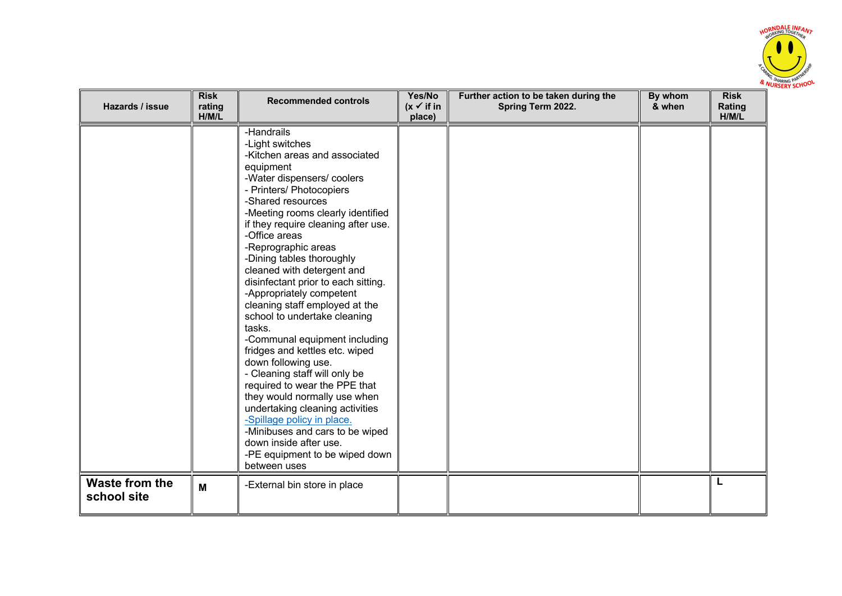

| Hazards / issue               | <b>Risk</b><br>rating<br>H/M/L | <b>Recommended controls</b>                                                                                                                                                                                                                                                                                                                                                                                                                                                                                                                                                                                                                                                                                                                                                                                                                                         | Yes/No<br>$(x \checkmark)$ if in<br>place) | Further action to be taken during the<br>Spring Term 2022. | By whom<br>& when | <b>Risk</b><br>Rating<br>H/M/L |
|-------------------------------|--------------------------------|---------------------------------------------------------------------------------------------------------------------------------------------------------------------------------------------------------------------------------------------------------------------------------------------------------------------------------------------------------------------------------------------------------------------------------------------------------------------------------------------------------------------------------------------------------------------------------------------------------------------------------------------------------------------------------------------------------------------------------------------------------------------------------------------------------------------------------------------------------------------|--------------------------------------------|------------------------------------------------------------|-------------------|--------------------------------|
|                               |                                | -Handrails<br>-Light switches<br>-Kitchen areas and associated<br>equipment<br>-Water dispensers/coolers<br>- Printers/ Photocopiers<br>-Shared resources<br>-Meeting rooms clearly identified<br>if they require cleaning after use.<br>-Office areas<br>-Reprographic areas<br>-Dining tables thoroughly<br>cleaned with detergent and<br>disinfectant prior to each sitting.<br>-Appropriately competent<br>cleaning staff employed at the<br>school to undertake cleaning<br>tasks.<br>-Communal equipment including<br>fridges and kettles etc. wiped<br>down following use.<br>- Cleaning staff will only be<br>required to wear the PPE that<br>they would normally use when<br>undertaking cleaning activities<br>-Spillage policy in place.<br>-Minibuses and cars to be wiped<br>down inside after use.<br>-PE equipment to be wiped down<br>between uses |                                            |                                                            |                   |                                |
| Waste from the<br>school site | M                              | -External bin store in place                                                                                                                                                                                                                                                                                                                                                                                                                                                                                                                                                                                                                                                                                                                                                                                                                                        |                                            |                                                            |                   | L                              |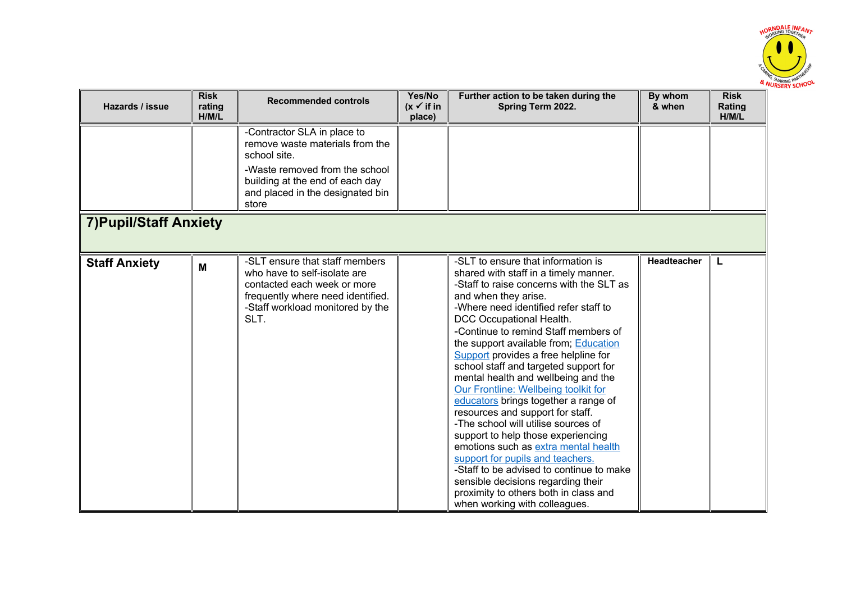

| Hazards / issue               | <b>Risk</b><br>rating<br>H/M/L | <b>Recommended controls</b>                                                                                                                                                    | Yes/No<br>$(x \vee$ if in<br>place) | Further action to be taken during the<br>Spring Term 2022.                                                                                                                                                                                                                                                                                                                                                                                                                                                                                                                                                                                                                                                                                                                                                                                                             | By whom<br>& when | <b>Risk</b><br>Rating<br>H/M/L |
|-------------------------------|--------------------------------|--------------------------------------------------------------------------------------------------------------------------------------------------------------------------------|-------------------------------------|------------------------------------------------------------------------------------------------------------------------------------------------------------------------------------------------------------------------------------------------------------------------------------------------------------------------------------------------------------------------------------------------------------------------------------------------------------------------------------------------------------------------------------------------------------------------------------------------------------------------------------------------------------------------------------------------------------------------------------------------------------------------------------------------------------------------------------------------------------------------|-------------------|--------------------------------|
|                               |                                | -Contractor SLA in place to<br>remove waste materials from the<br>school site.                                                                                                 |                                     |                                                                                                                                                                                                                                                                                                                                                                                                                                                                                                                                                                                                                                                                                                                                                                                                                                                                        |                   |                                |
|                               |                                | -Waste removed from the school<br>building at the end of each day<br>and placed in the designated bin<br>store                                                                 |                                     |                                                                                                                                                                                                                                                                                                                                                                                                                                                                                                                                                                                                                                                                                                                                                                                                                                                                        |                   |                                |
| <b>7) Pupil/Staff Anxiety</b> |                                |                                                                                                                                                                                |                                     |                                                                                                                                                                                                                                                                                                                                                                                                                                                                                                                                                                                                                                                                                                                                                                                                                                                                        |                   |                                |
| <b>Staff Anxiety</b>          | M                              | -SLT ensure that staff members<br>who have to self-isolate are<br>contacted each week or more<br>frequently where need identified.<br>-Staff workload monitored by the<br>SLT. |                                     | -SLT to ensure that information is<br>shared with staff in a timely manner.<br>-Staff to raise concerns with the SLT as<br>and when they arise.<br>-Where need identified refer staff to<br>DCC Occupational Health.<br>-Continue to remind Staff members of<br>the support available from; Education<br>Support provides a free helpline for<br>school staff and targeted support for<br>mental health and wellbeing and the<br>Our Frontline: Wellbeing toolkit for<br>educators brings together a range of<br>resources and support for staff.<br>-The school will utilise sources of<br>support to help those experiencing<br>emotions such as extra mental health<br>support for pupils and teachers.<br>-Staff to be advised to continue to make<br>sensible decisions regarding their<br>proximity to others both in class and<br>when working with colleagues. | Headteacher       | L                              |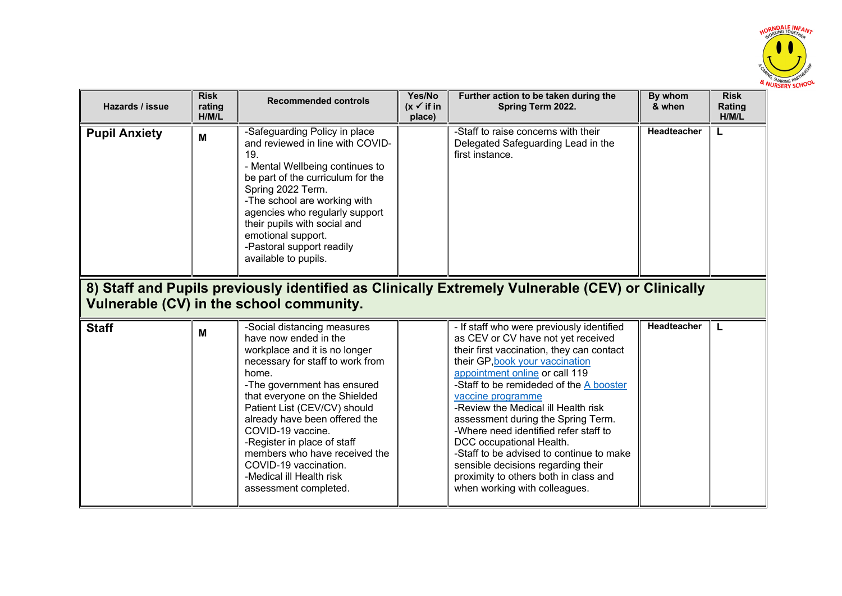

| Hazards / issue      | <b>Risk</b><br>rating<br>H/M/L | <b>Recommended controls</b>                                                                                                                                                                                                                                                                                                                                                                                                            | Yes/No<br>$(x \vee$ if in<br>place) | Further action to be taken during the<br>Spring Term 2022.                                                                                                                                                                                                                                                                                                                                                                                                                                                                                                                      | By whom<br>& when  | <b>Risk</b><br>Rating<br>H/M/L |
|----------------------|--------------------------------|----------------------------------------------------------------------------------------------------------------------------------------------------------------------------------------------------------------------------------------------------------------------------------------------------------------------------------------------------------------------------------------------------------------------------------------|-------------------------------------|---------------------------------------------------------------------------------------------------------------------------------------------------------------------------------------------------------------------------------------------------------------------------------------------------------------------------------------------------------------------------------------------------------------------------------------------------------------------------------------------------------------------------------------------------------------------------------|--------------------|--------------------------------|
| <b>Pupil Anxiety</b> | M                              | -Safeguarding Policy in place<br>and reviewed in line with COVID-<br>19.<br>- Mental Wellbeing continues to<br>be part of the curriculum for the<br>Spring 2022 Term.<br>-The school are working with<br>agencies who regularly support<br>their pupils with social and<br>emotional support.<br>-Pastoral support readily<br>available to pupils.                                                                                     |                                     | -Staff to raise concerns with their<br>Delegated Safeguarding Lead in the<br>first instance.                                                                                                                                                                                                                                                                                                                                                                                                                                                                                    | <b>Headteacher</b> | L                              |
|                      |                                | Vulnerable (CV) in the school community.                                                                                                                                                                                                                                                                                                                                                                                               |                                     | 8) Staff and Pupils previously identified as Clinically Extremely Vulnerable (CEV) or Clinically                                                                                                                                                                                                                                                                                                                                                                                                                                                                                |                    |                                |
| <b>Staff</b>         | M                              | -Social distancing measures<br>have now ended in the<br>workplace and it is no longer<br>necessary for staff to work from<br>home.<br>-The government has ensured<br>that everyone on the Shielded<br>Patient List (CEV/CV) should<br>already have been offered the<br>COVID-19 vaccine.<br>-Register in place of staff<br>members who have received the<br>COVID-19 vaccination.<br>-Medical ill Health risk<br>assessment completed. |                                     | - If staff who were previously identified<br>as CEV or CV have not yet received<br>their first vaccination, they can contact<br>their GP, book your vaccination<br>appointment online or call 119<br>-Staff to be remideded of the A booster<br>vaccine programme<br>-Review the Medical ill Health risk<br>assessment during the Spring Term.<br>-Where need identified refer staff to<br>DCC occupational Health.<br>-Staff to be advised to continue to make<br>sensible decisions regarding their<br>proximity to others both in class and<br>when working with colleagues. | Headteacher        | L                              |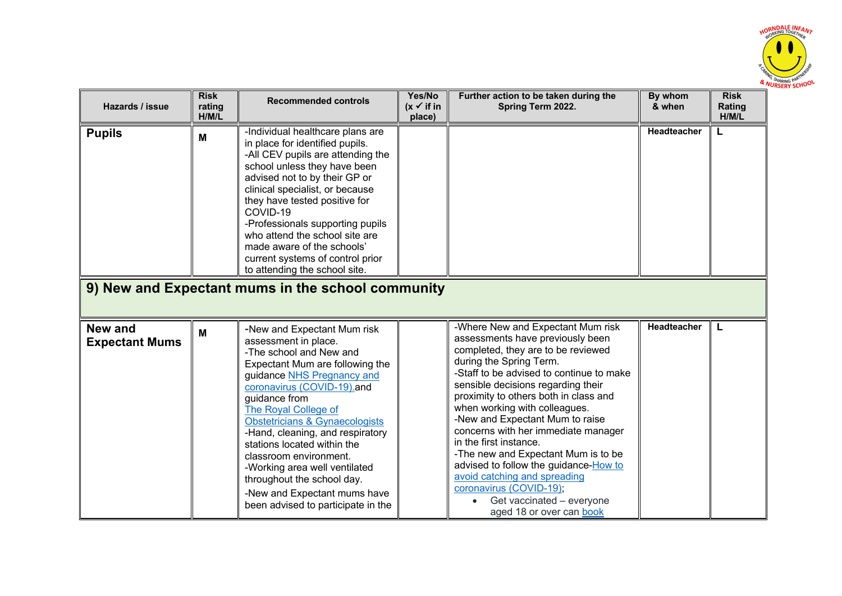

| Hazards / issue                         | <b>Risk</b><br>rating<br>H/M/L | <b>Recommended controls</b>                                                                                                                                                                                                                                                                                                                                                                                                                                                                           | Yes/No<br>$(x \vee$ if in<br>place) | Further action to be taken during the<br>Spring Term 2022.                                                                                                                                                                                                                                                                                                                                                                                                                                                                                                                                                 | By whom<br>& when  | <b>Risk</b><br>Rating<br>H/M/L |
|-----------------------------------------|--------------------------------|-------------------------------------------------------------------------------------------------------------------------------------------------------------------------------------------------------------------------------------------------------------------------------------------------------------------------------------------------------------------------------------------------------------------------------------------------------------------------------------------------------|-------------------------------------|------------------------------------------------------------------------------------------------------------------------------------------------------------------------------------------------------------------------------------------------------------------------------------------------------------------------------------------------------------------------------------------------------------------------------------------------------------------------------------------------------------------------------------------------------------------------------------------------------------|--------------------|--------------------------------|
| <b>Pupils</b>                           | M                              | -Individual healthcare plans are<br>in place for identified pupils.<br>-All CEV pupils are attending the<br>school unless they have been<br>advised not to by their GP or<br>clinical specialist, or because<br>they have tested positive for<br>COVID-19<br>-Professionals supporting pupils<br>who attend the school site are<br>made aware of the schools'<br>current systems of control prior<br>to attending the school site.<br>9) New and Expectant mums in the school community               |                                     |                                                                                                                                                                                                                                                                                                                                                                                                                                                                                                                                                                                                            | Headteacher        |                                |
|                                         |                                |                                                                                                                                                                                                                                                                                                                                                                                                                                                                                                       |                                     |                                                                                                                                                                                                                                                                                                                                                                                                                                                                                                                                                                                                            |                    |                                |
| <b>New and</b><br><b>Expectant Mums</b> | M                              | -New and Expectant Mum risk<br>assessment in place.<br>-The school and New and<br>Expectant Mum are following the<br>guidance NHS Pregnancy and<br>coronavirus (COVID-19).and<br>guidance from<br>The Royal College of<br><b>Obstetricians &amp; Gynaecologists</b><br>-Hand, cleaning, and respiratory<br>stations located within the<br>classroom environment.<br>-Working area well ventilated<br>throughout the school day.<br>-New and Expectant mums have<br>been advised to participate in the |                                     | -Where New and Expectant Mum risk<br>assessments have previously been<br>completed, they are to be reviewed<br>during the Spring Term.<br>-Staff to be advised to continue to make<br>sensible decisions regarding their<br>proximity to others both in class and<br>when working with colleagues.<br>-New and Expectant Mum to raise<br>concerns with her immediate manager<br>in the first instance.<br>-The new and Expectant Mum is to be<br>advised to follow the guidance-How to<br>avoid catching and spreading<br>coronavirus (COVID-19);<br>Get vaccinated - everyone<br>aged 18 or over can book | <b>Headteacher</b> | L                              |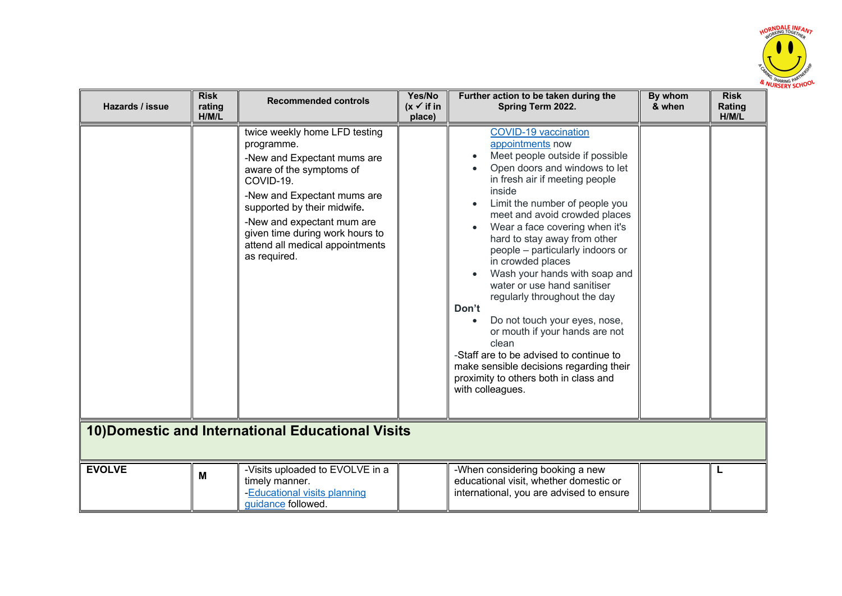

| Hazards / issue                                   | <b>Risk</b><br>rating<br>H/M/L | <b>Recommended controls</b>                                                                                                                                                                                                                                                                           | Yes/No<br>$(x \vee$ if in<br>place) | Further action to be taken during the<br>Spring Term 2022.                                                                                                                                                                                                                                                                                                                                                                                                                                                                                                                                                                                                                                            | By whom<br>& when | <b>Risk</b><br>Rating<br>H/M/L |  |  |
|---------------------------------------------------|--------------------------------|-------------------------------------------------------------------------------------------------------------------------------------------------------------------------------------------------------------------------------------------------------------------------------------------------------|-------------------------------------|-------------------------------------------------------------------------------------------------------------------------------------------------------------------------------------------------------------------------------------------------------------------------------------------------------------------------------------------------------------------------------------------------------------------------------------------------------------------------------------------------------------------------------------------------------------------------------------------------------------------------------------------------------------------------------------------------------|-------------------|--------------------------------|--|--|
|                                                   |                                | twice weekly home LFD testing<br>programme.<br>-New and Expectant mums are<br>aware of the symptoms of<br>COVID-19.<br>-New and Expectant mums are<br>supported by their midwife.<br>-New and expectant mum are<br>given time during work hours to<br>attend all medical appointments<br>as required. |                                     | <b>COVID-19 vaccination</b><br>appointments now<br>Meet people outside if possible<br>Open doors and windows to let<br>in fresh air if meeting people<br>inside<br>Limit the number of people you<br>meet and avoid crowded places<br>Wear a face covering when it's<br>hard to stay away from other<br>people - particularly indoors or<br>in crowded places<br>Wash your hands with soap and<br>water or use hand sanitiser<br>regularly throughout the day<br>Don't<br>Do not touch your eyes, nose,<br>or mouth if your hands are not<br>clean<br>-Staff are to be advised to continue to<br>make sensible decisions regarding their<br>proximity to others both in class and<br>with colleagues. |                   |                                |  |  |
| 10) Domestic and International Educational Visits |                                |                                                                                                                                                                                                                                                                                                       |                                     |                                                                                                                                                                                                                                                                                                                                                                                                                                                                                                                                                                                                                                                                                                       |                   |                                |  |  |
| <b>EVOLVE</b>                                     | M                              | -Visits uploaded to EVOLVE in a<br>timely manner.<br>-Educational visits planning<br>quidance followed.                                                                                                                                                                                               |                                     | -When considering booking a new<br>educational visit, whether domestic or<br>international, you are advised to ensure                                                                                                                                                                                                                                                                                                                                                                                                                                                                                                                                                                                 |                   |                                |  |  |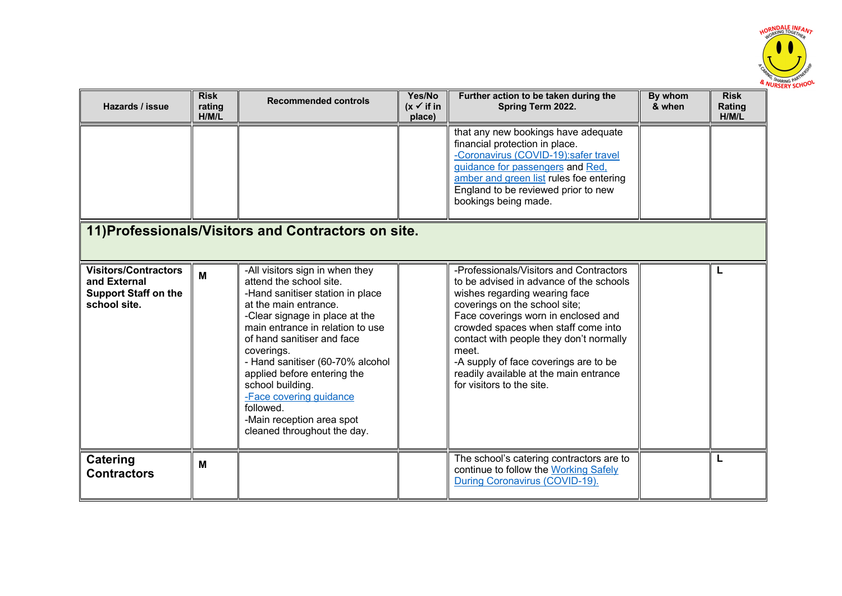

| Hazards / issue                                                                            | <b>Risk</b><br>rating<br>H/M/L | <b>Recommended controls</b>                                                                                                                                                                                                                                                                                                                                                                                                          | Yes/No<br>$(x \vee$ if in<br>place) | Further action to be taken during the<br>Spring Term 2022.                                                                                                                                                                                                                                                                                                                                             | By whom<br>& when | <b>Risk</b><br>Rating<br>H/M/L |
|--------------------------------------------------------------------------------------------|--------------------------------|--------------------------------------------------------------------------------------------------------------------------------------------------------------------------------------------------------------------------------------------------------------------------------------------------------------------------------------------------------------------------------------------------------------------------------------|-------------------------------------|--------------------------------------------------------------------------------------------------------------------------------------------------------------------------------------------------------------------------------------------------------------------------------------------------------------------------------------------------------------------------------------------------------|-------------------|--------------------------------|
|                                                                                            |                                |                                                                                                                                                                                                                                                                                                                                                                                                                                      |                                     | that any new bookings have adequate<br>financial protection in place.<br>-Coronavirus (COVID-19):safer travel<br>guidance for passengers and Red,<br>amber and green list rules foe entering<br>England to be reviewed prior to new<br>bookings being made.                                                                                                                                            |                   |                                |
|                                                                                            |                                | 11) Professionals/Visitors and Contractors on site.                                                                                                                                                                                                                                                                                                                                                                                  |                                     |                                                                                                                                                                                                                                                                                                                                                                                                        |                   |                                |
| <b>Visitors/Contractors</b><br>and External<br><b>Support Staff on the</b><br>school site. | M                              | -All visitors sign in when they<br>attend the school site.<br>-Hand sanitiser station in place<br>at the main entrance.<br>-Clear signage in place at the<br>main entrance in relation to use<br>of hand sanitiser and face<br>coverings.<br>- Hand sanitiser (60-70% alcohol<br>applied before entering the<br>school building.<br>-Face covering guidance<br>followed.<br>-Main reception area spot<br>cleaned throughout the day. |                                     | -Professionals/Visitors and Contractors<br>to be advised in advance of the schools<br>wishes regarding wearing face<br>coverings on the school site;<br>Face coverings worn in enclosed and<br>crowded spaces when staff come into<br>contact with people they don't normally<br>meet.<br>-A supply of face coverings are to be<br>readily available at the main entrance<br>for visitors to the site. |                   | L                              |
| Catering<br><b>Contractors</b>                                                             | м                              |                                                                                                                                                                                                                                                                                                                                                                                                                                      |                                     | The school's catering contractors are to<br>continue to follow the Working Safely<br>During Coronavirus (COVID-19).                                                                                                                                                                                                                                                                                    |                   |                                |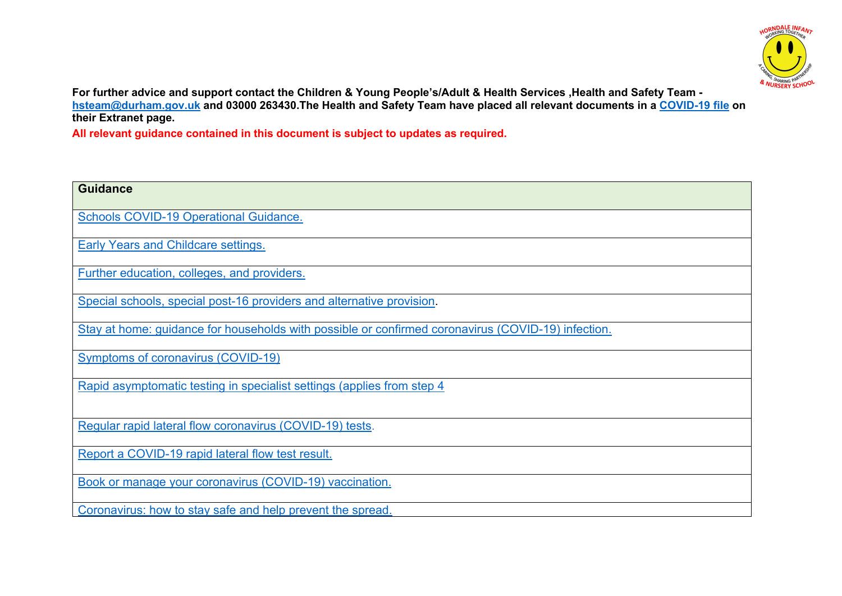

**For further advice and support contact the Children & Young People's/Adult & Health Services ,Health and Safety Team hsteam@durham.gov.uk and 03000 263430.The Health and Safety Team have placed all relevant documents in a COVID-19 file on their Extranet page.**

**All relevant guidance contained in this document is subject to updates as required.**

| <b>Guidance</b>                                                                                    |
|----------------------------------------------------------------------------------------------------|
| <b>Schools COVID-19 Operational Guidance.</b>                                                      |
| <b>Early Years and Childcare settings.</b>                                                         |
| Further education, colleges, and providers.                                                        |
| Special schools, special post-16 providers and alternative provision.                              |
| Stay at home: guidance for households with possible or confirmed coronavirus (COVID-19) infection. |
| <b>Symptoms of coronavirus (COVID-19)</b>                                                          |
| Rapid asymptomatic testing in specialist settings (applies from step 4                             |
| Regular rapid lateral flow coronavirus (COVID-19) tests.                                           |
| Report a COVID-19 rapid lateral flow test result.                                                  |
| Book or manage your coronavirus (COVID-19) vaccination.                                            |
| Coronavirus: how to stay safe and help prevent the spread.                                         |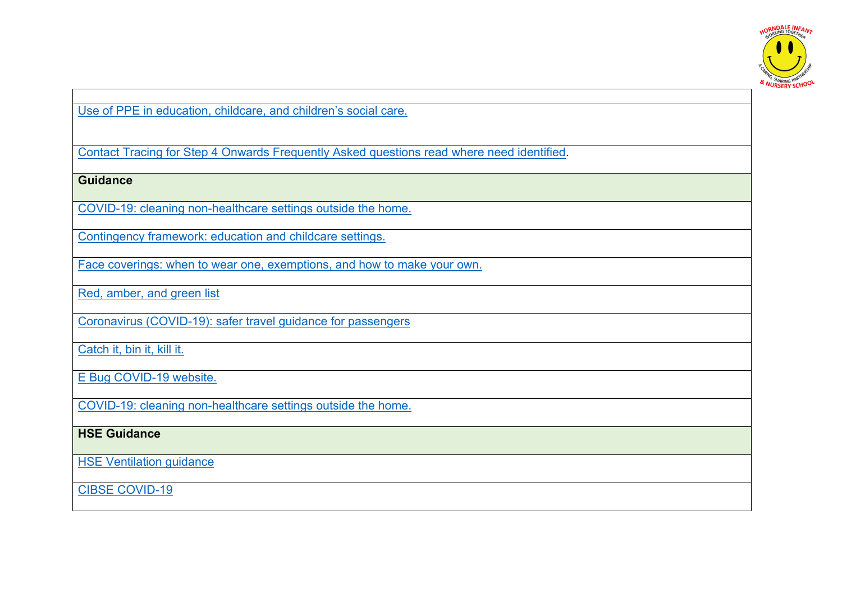

Use of PPE in education, childcare, and children's social care.

Contact Tracing for Step 4 Onwards Frequently Asked questions read where need identified.

**Guidance** 

COVID-19: cleaning non-healthcare settings outside the home.

Contingency framework: education and childcare settings.

Face coverings: when to wear one, exemptions, and how to make your own.

Red, amber, and green list

Coronavirus (COVID-19): safer travel guidance for passengers

Catch it, bin it, kill it.

E Bug COVID-19 website.

COVID-19: cleaning non-healthcare settings outside the home.

## **HSE Guidance**

**HSE Ventilation guidance** 

CIBSE COVID-19